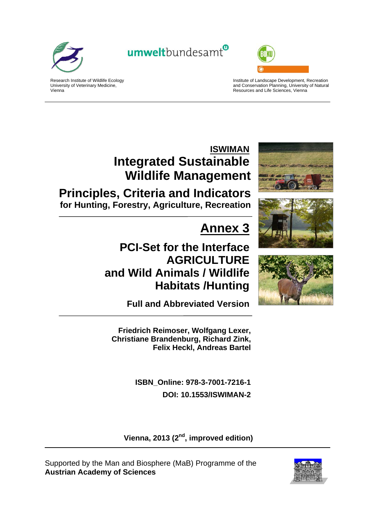

umweltbundesamt<sup>®</sup>



Research Institute of Wildlife Ecology University of Veterinary Medicine, Vienna

Institute of Landscape Development, Recreation and Conservation Planning, University of Natural Resources and Life Sciences, Vienna

# **ISWIMAN Integrated Sustainable Wildlife Management**

**Principles, Criteria and Indicators for Hunting, Forestry, Agriculture, Recreation**

# **Annex 3**

# **PCI-Set for the Interface AGRICULTURE and Wild Animals / Wildlife Habitats /Hunting**







**Full and Abbreviated Version** 

**Friedrich Reimoser, Wolfgang Lexer, Christiane Brandenburg, Richard Zink, Felix Heckl, Andreas Bartel** 

> **ISBN\_Online: 978-3-7001-7216-1 DOI: 10.1553/ISWIMAN-2**

Vienna, 2013 (2<sup>nd</sup>, improved edition)

Supported by the Man and Biosphere (MaB) Programme of the **Austrian Academy of Sciences**

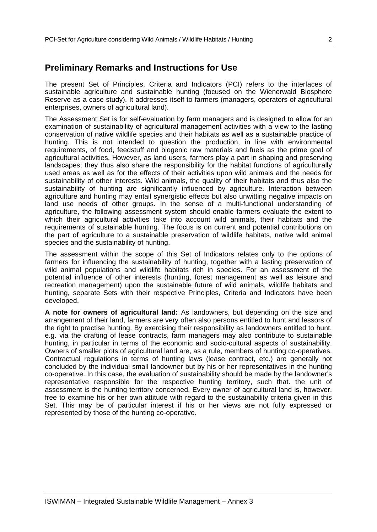## **Preliminary Remarks and Instructions for Use**

The present Set of Principles, Criteria and Indicators (PCI) refers to the interfaces of sustainable agriculture and sustainable hunting (focused on the Wienerwald Biosphere Reserve as a case study). It addresses itself to farmers (managers, operators of agricultural enterprises, owners of agricultural land).

The Assessment Set is for self-evaluation by farm managers and is designed to allow for an examination of sustainability of agricultural management activities with a view to the lasting conservation of native wildlife species and their habitats as well as a sustainable practice of hunting. This is not intended to question the production, in line with environmental requirements, of food, feedstuff and biogenic raw materials and fuels as the prime goal of agricultural activities. However, as land users, farmers play a part in shaping and preserving landscapes; they thus also share the responsibility for the habitat functions of agriculturally used areas as well as for the effects of their activities upon wild animals and the needs for sustainability of other interests. Wild animals, the quality of their habitats and thus also the sustainability of hunting are significantly influenced by agriculture. Interaction between agriculture and hunting may entail synergistic effects but also unwitting negative impacts on land use needs of other groups. In the sense of a multi-functional understanding of agriculture, the following assessment system should enable farmers evaluate the extent to which their agricultural activities take into account wild animals, their habitats and the requirements of sustainable hunting. The focus is on current and potential contributions on the part of agriculture to a sustainable preservation of wildlife habitats, native wild animal species and the sustainability of hunting.

The assessment within the scope of this Set of Indicators relates only to the options of farmers for influencing the sustainability of hunting, together with a lasting preservation of wild animal populations and wildlife habitats rich in species. For an assessment of the potential influence of other interests (hunting, forest management as well as leisure and recreation management) upon the sustainable future of wild animals, wildlife habitats and hunting, separate Sets with their respective Principles, Criteria and Indicators have been developed.

**A note for owners of agricultural land:** As landowners, but depending on the size and arrangement of their land, farmers are very often also persons entitled to hunt and lessors of the right to practise hunting. By exercising their responsibility as landowners entitled to hunt, e.g. via the drafting of lease contracts, farm managers may also contribute to sustainable hunting, in particular in terms of the economic and socio-cultural aspects of sustainability. Owners of smaller plots of agricultural land are, as a rule, members of hunting co-operatives. Contractual regulations in terms of hunting laws (lease contract, etc.) are generally not concluded by the individual small landowner but by his or her representatives in the hunting co-operative. In this case, the evaluation of sustainability should be made by the landowner's representative responsible for the respective hunting territory, such that. the unit of assessment is the hunting territory concerned. Every owner of agricultural land is, however, free to examine his or her own attitude with regard to the sustainability criteria given in this Set. This may be of particular interest if his or her views are not fully expressed or represented by those of the hunting co-operative.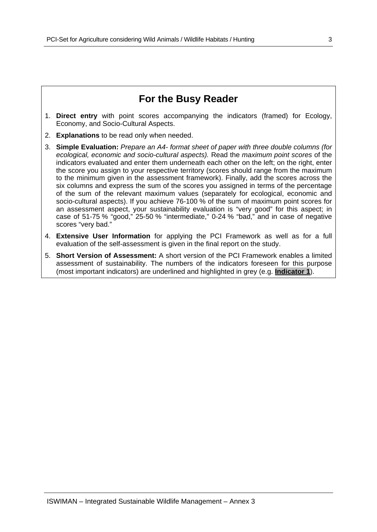## **For the Busy Reader**

- 1. **Direct entry** with point scores accompanying the indicators (framed) for Ecology, Economy, and Socio-Cultural Aspects.
- 2. **Explanations** to be read only when needed.
- 3. **Simple Evaluation:** *Prepare an A4- format sheet of paper with three double columns (for ecological, economic and socio-cultural aspects).* Read the *maximum point scores* of the indicators evaluated and enter them underneath each other on the left; on the right, enter the score you assign to your respective territory (scores should range from the maximum to the minimum given in the assessment framework). Finally, add the scores across the six columns and express the sum of the scores you assigned in terms of the percentage of the sum of the relevant maximum values (separately for ecological, economic and socio-cultural aspects). If you achieve 76-100 % of the sum of maximum point scores for an assessment aspect, your sustainability evaluation is "very good" for this aspect; in case of 51-75 % "good," 25-50 % "intermediate," 0-24 % "bad," and in case of negative scores "very bad."
- 4. **Extensive User Information** for applying the PCI Framework as well as for a full evaluation of the self-assessment is given in the final report on the study.
- 5. **Short Version of Assessment:** A short version of the PCI Framework enables a limited assessment of sustainability. The numbers of the indicators foreseen for this purpose (most important indicators) are underlined and highlighted in grey (e.g. **Indicator 1**).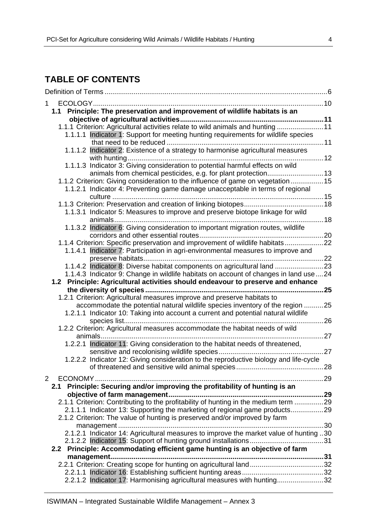## **TABLE OF CONTENTS**

| 1                                                                                                                                                        |     |
|----------------------------------------------------------------------------------------------------------------------------------------------------------|-----|
| 1.1 Principle: The preservation and improvement of wildlife habitats is an                                                                               |     |
|                                                                                                                                                          |     |
| 1.1.1 Criterion: Agricultural activities relate to wild animals and hunting  11                                                                          |     |
| 1.1.1.1 Indicator 1: Support for meeting hunting requirements for wildlife species                                                                       |     |
| 1.1.1.2 Indicator 2: Existence of a strategy to harmonise agricultural measures                                                                          |     |
|                                                                                                                                                          |     |
| 1.1.1.3 Indicator 3: Giving consideration to potential harmful effects on wild                                                                           |     |
| animals from chemical pesticides, e.g. for plant protection 13                                                                                           |     |
| 1.1.2 Criterion: Giving consideration to the influence of game on vegetation15                                                                           |     |
| 1.1.2.1 Indicator 4: Preventing game damage unacceptable in terms of regional                                                                            |     |
|                                                                                                                                                          |     |
| 1.1.3.1 Indicator 5: Measures to improve and preserve biotope linkage for wild                                                                           |     |
| 18                                                                                                                                                       |     |
| 1.1.3.2 Indicator 6: Giving consideration to important migration routes, wildlife                                                                        |     |
|                                                                                                                                                          |     |
| 1.1.4 Criterion: Specific preservation and improvement of wildlife habitats22                                                                            |     |
| 1.1.4.1 Indicator 7: Participation in agri-environmental measures to improve and                                                                         |     |
| 1.1.4.2 Indicator 8: Diverse habitat components on agricultural land 23                                                                                  |     |
| 1.1.4.3 Indicator 9: Change in wildlife habitats on account of changes in land use  24                                                                   |     |
| 1.2 Principle: Agricultural activities should endeavour to preserve and enhance                                                                          |     |
|                                                                                                                                                          | 25  |
| 1.2.1 Criterion: Agricultural measures improve and preserve habitats to                                                                                  |     |
| accommodate the potential natural wildlife species inventory of the region                                                                               | 25  |
| 1.2.1.1 Indicator 10: Taking into account a current and potential natural wildlife                                                                       |     |
| 1.2.2 Criterion: Agricultural measures accommodate the habitat needs of wild                                                                             | .26 |
|                                                                                                                                                          | .27 |
| 1.2.2.1 Indicator 11: Giving consideration to the habitat needs of threatened,                                                                           |     |
|                                                                                                                                                          |     |
| 1.2.2.2 Indicator 12: Giving consideration to the reproductive biology and life-cycle                                                                    |     |
|                                                                                                                                                          |     |
| $\overline{2}$                                                                                                                                           |     |
| 2.1 Principle: Securing and/or improving the profitability of hunting is an                                                                              |     |
|                                                                                                                                                          |     |
|                                                                                                                                                          |     |
| 2.1.1.1 Indicator 13: Supporting the marketing of regional game products29<br>2.1.2 Criterion: The value of hunting is preserved and/or improved by farm |     |
|                                                                                                                                                          |     |
| 2.1.2.1 Indicator 14: Agricultural measures to improve the market value of hunting 30                                                                    |     |
|                                                                                                                                                          |     |
| 2.2 Principle: Accommodating efficient game hunting is an objective of farm                                                                              |     |
|                                                                                                                                                          |     |
|                                                                                                                                                          |     |
|                                                                                                                                                          |     |
| 2.2.1.2 Indicator 17: Harmonising agricultural measures with hunting32                                                                                   |     |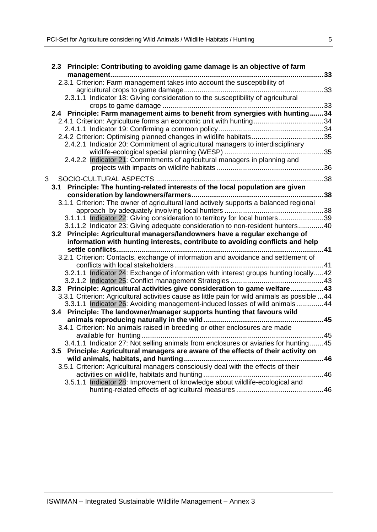|   |     | 2.3 Principle: Contributing to avoiding game damage is an objective of farm                    |    |
|---|-----|------------------------------------------------------------------------------------------------|----|
|   |     |                                                                                                | 33 |
|   |     | 2.3.1 Criterion: Farm management takes into account the susceptibility of                      |    |
|   |     |                                                                                                |    |
|   |     | 2.3.1.1 Indicator 18: Giving consideration to the susceptibility of agricultural               |    |
|   |     |                                                                                                |    |
|   |     | 2.4 Principle: Farm management aims to benefit from synergies with hunting34                   |    |
|   |     |                                                                                                |    |
|   |     |                                                                                                |    |
|   |     |                                                                                                |    |
|   |     | 2.4.2.1 Indicator 20: Commitment of agricultural managers to interdisciplinary                 |    |
|   |     | 2.4.2.2 Indicator 21: Commitments of agricultural managers in planning and                     |    |
|   |     |                                                                                                |    |
|   |     |                                                                                                |    |
| 3 |     |                                                                                                |    |
|   | 3.1 | Principle: The hunting-related interests of the local population are given                     |    |
|   |     |                                                                                                |    |
|   |     | 3.1.1 Criterion: The owner of agricultural land actively supports a balanced regional          |    |
|   |     | 3.1.1.1 Indicator 22: Giving consideration to territory for local hunters39                    |    |
|   |     | 3.1.1.2 Indicator 23: Giving adequate consideration to non-resident hunters40                  |    |
|   |     | 3.2 Principle: Agricultural managers/landowners have a regular exchange of                     |    |
|   |     | information with hunting interests, contribute to avoiding conflicts and help                  |    |
|   |     |                                                                                                |    |
|   |     | 3.2.1 Criterion: Contacts, exchange of information and avoidance and settlement of             |    |
|   |     |                                                                                                |    |
|   |     | 3.2.1.1 Indicator 24: Exchange of information with interest groups hunting locally42           |    |
|   |     |                                                                                                |    |
|   |     | 3.3 Principle: Agricultural activities give consideration to game welfare43                    |    |
|   |     | 3.3.1 Criterion: Agricultural activities cause as little pain for wild animals as possible  44 |    |
|   |     | 3.3.1.1 Indicator 26: Avoiding management-induced losses of wild animals44                     |    |
|   |     | 3.4 Principle: The landowner/manager supports hunting that favours wild                        |    |
|   |     |                                                                                                |    |
|   |     | 3.4.1 Criterion: No animals raised in breeding or other enclosures are made                    |    |
|   |     |                                                                                                |    |
|   |     | 3.4.1.1 Indicator 27: Not selling animals from enclosures or aviaries for hunting  45          |    |
|   |     | 3.5 Principle: Agricultural managers are aware of the effects of their activity on             |    |
|   |     | 46                                                                                             |    |
|   |     | 3.5.1 Criterion: Agricultural managers consciously deal with the effects of their              |    |
|   |     |                                                                                                |    |
|   |     |                                                                                                |    |
|   |     | 3.5.1.1 Indicator 28: Improvement of knowledge about wildlife-ecological and                   |    |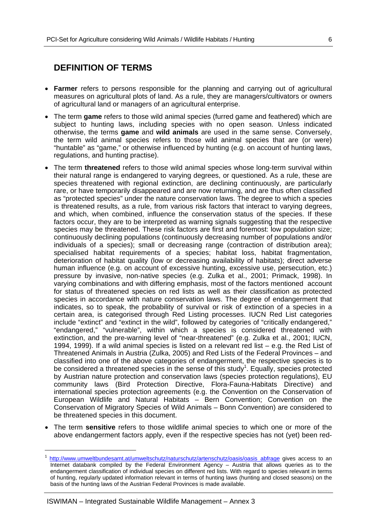## **DEFINITION OF TERMS**

- **Farmer** refers to persons responsible for the planning and carrying out of agricultural measures on agricultural plots of land. As a rule, they are managers/cultivators or owners of agricultural land or managers of an agricultural enterprise.
- The term **game** refers to those wild animal species (furred game and feathered) which are subject to hunting laws, including species with no open season. Unless indicated otherwise, the terms **game** and **wild animals** are used in the same sense. Conversely, the term wild animal species refers to those wild animal species that are (or were) "huntable" as "game," or otherwise influenced by hunting (e.g. on account of hunting laws, regulations, and hunting practise).
- The term **threatened** refers to those wild animal species whose long-term survival within their natural range is endangered to varying degrees, or questioned. As a rule, these are species threatened with regional extinction, are declining continuously, are particularly rare, or have temporarily disappeared and are now returning, and are thus often classified as "protected species" under the nature conservation laws. The degree to which a species is threatened results, as a rule, from various risk factors that interact to varying degrees, and which, when combined, influence the conservation status of the species. If these factors occur, they are to be interpreted as warning signals suggesting that the respective species may be threatened. These risk factors are first and foremost: low population size; continuously declining populations (continuously decreasing number of populations and/or individuals of a species); small or decreasing range (contraction of distribution area); specialised habitat requirements of a species; habitat loss, habitat fragmentation, deterioration of habitat quality (low or decreasing availability of habitats); direct adverse human influence (e.g. on account of excessive hunting, excessive use, persecution, etc.) pressure by invasive, non-native species (e.g. Zulka et al., 2001; Primack, 1998). In varying combinations and with differing emphasis, most of the factors mentioned account for status of threatened species on red lists as well as their classification as protected species in accordance with nature conservation laws. The degree of endangerment that indicates, so to speak, the probability of survival or risk of extinction of a species in a certain area, is categorised through Red Listing processes. IUCN Red List categories include "extinct" and "extinct in the wild", followed by categories of "critically endangered," "endangered," "vulnerable", within which a species is considered threatened with extinction, and the pre-warning level of "near-threatened" (e.g. Zulka et al., 2001; IUCN, 1994, 1999). If a wild animal species is listed on a relevant red list – e.g. the Red List of Threatened Animals in Austria (Zulka, 2005) and Red Lists of the Federal Provinces – and classified into one of the above categories of endangerment, the respective species is to be considered a threatened species in the sense of this study<sup>1</sup>. Equally, species protected by Austrian nature protection and conservation laws (species protection regulations), EU community laws (Bird Protection Directive, Flora-Fauna-Habitats Directive) and international species protection agreements (e.g. the Convention on the Conservation of European Wildlife and Natural Habitats – Bern Convention; Convention on the Conservation of Migratory Species of Wild Animals – Bonn Convention) are considered to be threatened species in this document.
- The term **sensitive** refers to those wildlife animal species to which one or more of the above endangerment factors apply, even if the respective species has not (yet) been red-

-

<sup>&</sup>lt;sup>1</sup> http://www.umweltbundesamt.at/umweltschutz/naturschutz/artenschutz/oasis/oasis\_abfrage gives access to an Internet databank compiled by the Federal Environment Agency – Austria that allows queries as to the endangerment classification of individual species on different red lists. With regard to species relevant in terms of hunting, regularly updated information relevant in terms of hunting laws (hunting and closed seasons) on the basis of the hunting laws of the Austrian Federal Provinces is made available.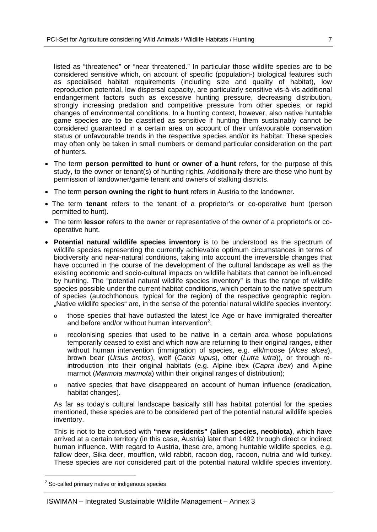listed as "threatened" or "near threatened." In particular those wildlife species are to be considered sensitive which, on account of specific (population-) biological features such as specialised habitat requirements (including size and quality of habitat), low reproduction potential, low dispersal capacity, are particularly sensitive vis-à-vis additional endangerment factors such as excessive hunting pressure, decreasing distribution, strongly increasing predation and competitive pressure from other species, or rapid changes of environmental conditions. In a hunting context, however, also native huntable game species are to be classified as sensitive if hunting them sustainably cannot be considered guaranteed in a certain area on account of their unfavourable conservation status or unfavourable trends in the respective species and/or its habitat. These species may often only be taken in small numbers or demand particular consideration on the part of hunters.

- The term **person permitted to hunt** or **owner of a hunt** refers, for the purpose of this study, to the owner or tenant(s) of hunting rights. Additionally there are those who hunt by permission of landowner/game tenant and owners of stalking districts.
- The term **person owning the right to hunt** refers in Austria to the landowner.
- The term **tenant** refers to the tenant of a proprietor's or co-operative hunt (person permitted to hunt).
- The term **lessor** refers to the owner or representative of the owner of a proprietor's or cooperative hunt.
- **Potential natural wildlife species inventory** is to be understood as the spectrum of wildlife species representing the currently achievable optimum circumstances in terms of biodiversity and near-natural conditions, taking into account the irreversible changes that have occurred in the course of the development of the cultural landscape as well as the existing economic and socio-cultural impacts on wildlife habitats that cannot be influenced by hunting. The "potential natural wildlife species inventory" is thus the range of wildlife species possible under the current habitat conditions, which pertain to the native spectrum of species (autochthonous, typical for the region) of the respective geographic region. "Native wildlife species" are, in the sense of the potential natural wildlife species inventory:
	- o those species that have outlasted the latest Ice Age or have immigrated thereafter and before and/or without human intervention<sup>2</sup>;
	- o recolonising species that used to be native in a certain area whose populations temporarily ceased to exist and which now are returning to their original ranges, either without human intervention (immigration of species, e.g. elk/moose (*Alces alces*), brown bear (*Ursus arctos*), wolf (*Canis lupus*), otter (*Lutra lutra*)), or through reintroduction into their original habitats (e.g. Alpine ibex (*Capra ibex*) and Alpine marmot (*Marmota marmota*) within their original ranges of distribution);
	- o native species that have disappeared on account of human influence (eradication, habitat changes).

As far as today's cultural landscape basically still has habitat potential for the species mentioned, these species are to be considered part of the potential natural wildlife species inventory.

This is not to be confused with **"new residents" (alien species, neobiota)**, which have arrived at a certain territory (in this case, Austria) later than 1492 through direct or indirect human influence. With regard to Austria, these are, among huntable wildlife species, e.g. fallow deer, Sika deer, moufflon, wild rabbit, racoon dog, racoon, nutria and wild turkey. These species are *not* considered part of the potential natural wildlife species inventory.

-

 $2$  So-called primary native or indigenous species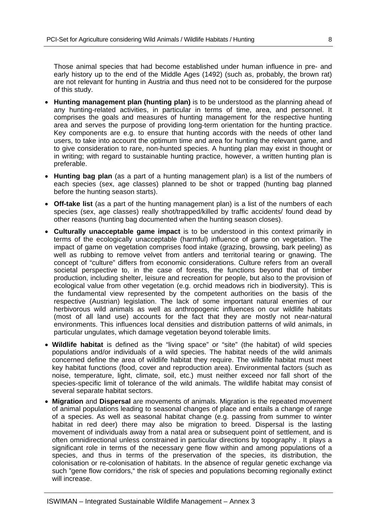Those animal species that had become established under human influence in pre- and early history up to the end of the Middle Ages (1492) (such as, probably, the brown rat) are not relevant for hunting in Austria and thus need not to be considered for the purpose of this study.

- **Hunting management plan (hunting plan)** is to be understood as the planning ahead of any hunting-related activities, in particular in terms of time, area, and personnel. It comprises the goals and measures of hunting management for the respective hunting area and serves the purpose of providing long-term orientation for the hunting practice. Key components are e.g. to ensure that hunting accords with the needs of other land users, to take into account the optimum time and area for hunting the relevant game, and to give consideration to rare, non-hunted species. A hunting plan may exist in thought or in writing; with regard to sustainable hunting practice, however, a written hunting plan is preferable.
- **Hunting bag plan** (as a part of a hunting management plan) is a list of the numbers of each species (sex, age classes) planned to be shot or trapped (hunting bag planned before the hunting season starts).
- **Off-take list** (as a part of the hunting management plan) is a list of the numbers of each species (sex, age classes) really shot/trapped/killed by traffic accidents/ found dead by other reasons (hunting bag documented when the hunting season closes).
- **Culturally unacceptable game impact** is to be understood in this context primarily in terms of the ecologically unacceptable (harmful) influence of game on vegetation. The impact of game on vegetation comprises food intake (grazing, browsing, bark peeling) as well as rubbing to remove velvet from antlers and territorial tearing or gnawing. The concept of "culture" differs from economic considerations. Culture refers from an overall societal perspective to, in the case of forests, the functions beyond that of timber production, including shelter, leisure and recreation for people, but also to the provision of ecological value from other vegetation (e.g. orchid meadows rich in biodiversity). This is the fundamental view represented by the competent authorities on the basis of the respective (Austrian) legislation. The lack of some important natural enemies of our herbivorous wild animals as well as anthropogenic influences on our wildlife habitats (most of all land use) accounts for the fact that they are mostly not near-natural environments. This influences local densities and distribution patterns of wild animals, in particular ungulates, which damage vegetation beyond tolerable limits.
- **Wildlife habitat** is defined as the "living space" or "site" (the habitat) of wild species populations and/or individuals of a wild species. The habitat needs of the wild animals concerned define the area of wildlife habitat they require. The wildlife habitat must meet key habitat functions (food, cover and reproduction area). Environmental factors (such as noise, temperature, light, climate, soil, etc.) must neither exceed nor fall short of the species-specific limit of tolerance of the wild animals. The wildlife habitat may consist of several separate habitat sectors.
- **Migration** and **Dispersal** are movements of animals. Migration is the repeated movement of animal populations leading to seasonal changes of place and entails a change of range of a species. As well as seasonal habitat change (e.g. passing from summer to winter habitat in red deer) there may also be migration to breed. Dispersal is the lasting movement of individuals away from a natal area or subsequent point of settlement, and is often omnidirectional unless constrained in particular directions by topography . It plays a significant role in terms of the necessary gene flow within and among populations of a species, and thus in terms of the preservation of the species, its distribution, the colonisation or re-colonisation of habitats. In the absence of regular genetic exchange via such "gene flow corridors," the risk of species and populations becoming regionally extinct will increase.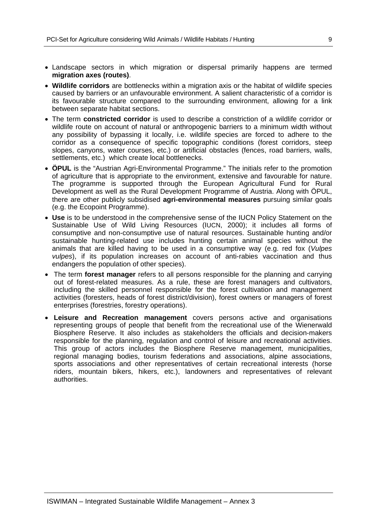- Landscape sectors in which migration or dispersal primarily happens are termed **migration axes (routes)**.
- **Wildlife corridors** are bottlenecks within a migration axis or the habitat of wildlife species caused by barriers or an unfavourable environment. A salient characteristic of a corridor is its favourable structure compared to the surrounding environment, allowing for a link between separate habitat sections.
- The term **constricted corridor** is used to describe a constriction of a wildlife corridor or wildlife route on account of natural or anthropogenic barriers to a minimum width without any possibility of bypassing it locally, i.e. wildlife species are forced to adhere to the corridor as a consequence of specific topographic conditions (forest corridors, steep slopes, canyons, water courses, etc.) or artificial obstacles (fences, road barriers, walls, settlements, etc.) which create local bottlenecks.
- **ÖPUL** is the "Austrian Agri-Environmental Programme." The initials refer to the promotion of agriculture that is appropriate to the environment, extensive and favourable for nature. The programme is supported through the European Agricultural Fund for Rural Development as well as the Rural Development Programme of Austria. Along with ÖPUL, there are other publicly subsidised **agri-environmental measures** pursuing similar goals (e.g. the Ecopoint Programme).
- **Use** is to be understood in the comprehensive sense of the IUCN Policy Statement on the Sustainable Use of Wild Living Resources (IUCN, 2000); it includes all forms of consumptive and non-consumptive use of natural resources. Sustainable hunting and/or sustainable hunting-related use includes hunting certain animal species without the animals that are killed having to be used in a consumptive way (e.g. red fox (*Vulpes vulpes*), if its population increases on account of anti-rabies vaccination and thus endangers the population of other species).
- The term **forest manager** refers to all persons responsible for the planning and carrying out of forest-related measures. As a rule, these are forest managers and cultivators, including the skilled personnel responsible for the forest cultivation and management activities (foresters, heads of forest district/division), forest owners or managers of forest enterprises (forestries, forestry operations).
- **Leisure and Recreation management** covers persons active and organisations representing groups of people that benefit from the recreational use of the Wienerwald Biosphere Reserve. It also includes as stakeholders the officials and decision-makers responsible for the planning, regulation and control of leisure and recreational activities. This group of actors includes the Biosphere Reserve management, municipalities, regional managing bodies, tourism federations and associations, alpine associations, sports associations and other representatives of certain recreational interests (horse riders, mountain bikers, hikers, etc.), landowners and representatives of relevant authorities.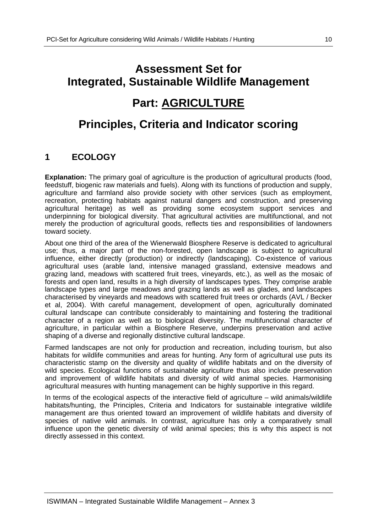# **Assessment Set for Integrated, Sustainable Wildlife Management Part: AGRICULTURE**

# **Principles, Criteria and Indicator scoring**

## **1 ECOLOGY**

**Explanation:** The primary goal of agriculture is the production of agricultural products (food, feedstuff, biogenic raw materials and fuels). Along with its functions of production and supply, agriculture and farmland also provide society with other services (such as employment, recreation, protecting habitats against natural dangers and construction, and preserving agricultural heritage) as well as providing some ecosystem support services and underpinning for biological diversity. That agricultural activities are multifunctional, and not merely the production of agricultural goods, reflects ties and responsibilities of landowners toward society.

About one third of the area of the Wienerwald Biosphere Reserve is dedicated to agricultural use; thus, a major part of the non-forested, open landscape is subject to agricultural influence, either directly (production) or indirectly (landscaping). Co-existence of various agricultural uses (arable land, intensive managed grassland, extensive meadows and grazing land, meadows with scattered fruit trees, vineyards, etc.), as well as the mosaic of forests and open land, results in a high diversity of landscapes types. They comprise arable landscape types and large meadows and grazing lands as well as glades, and landscapes characterised by vineyards and meadows with scattered fruit trees or orchards (AVL / Becker et al, 2004). With careful management, development of open, agriculturally dominated cultural landscape can contribute considerably to maintaining and fostering the traditional character of a region as well as to biological diversity. The multifunctional character of agriculture, in particular within a Biosphere Reserve, underpins preservation and active shaping of a diverse and regionally distinctive cultural landscape.

Farmed landscapes are not only for production and recreation, including tourism, but also habitats for wildlife communities and areas for hunting. Any form of agricultural use puts its characteristic stamp on the diversity and quality of wildlife habitats and on the diversity of wild species. Ecological functions of sustainable agriculture thus also include preservation and improvement of wildlife habitats and diversity of wild animal species. Harmonising agricultural measures with hunting management can be highly supportive in this regard.

In terms of the ecological aspects of the interactive field of agriculture – wild animals/wildlife habitats/hunting, the Principles, Criteria and Indicators for sustainable integrative wildlife management are thus oriented toward an improvement of wildlife habitats and diversity of species of native wild animals. In contrast, agriculture has only a comparatively small influence upon the genetic diversity of wild animal species; this is why this aspect is not directly assessed in this context.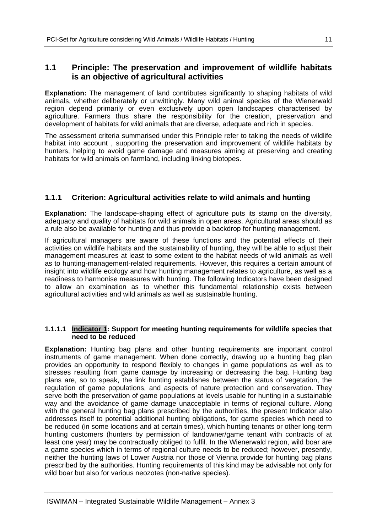## **1.1 Principle: The preservation and improvement of wildlife habitats is an objective of agricultural activities**

**Explanation:** The management of land contributes significantly to shaping habitats of wild animals, whether deliberately or unwittingly. Many wild animal species of the Wienerwald region depend primarily or even exclusively upon open landscapes characterised by agriculture. Farmers thus share the responsibility for the creation, preservation and development of habitats for wild animals that are diverse, adequate and rich in species.

The assessment criteria summarised under this Principle refer to taking the needs of wildlife habitat into account , supporting the preservation and improvement of wildlife habitats by hunters, helping to avoid game damage and measures aiming at preserving and creating habitats for wild animals on farmland, including linking biotopes.

## **1.1.1 Criterion: Agricultural activities relate to wild animals and hunting**

**Explanation:** The landscape-shaping effect of agriculture puts its stamp on the diversity, adequacy and quality of habitats for wild animals in open areas. Agricultural areas should as a rule also be available for hunting and thus provide a backdrop for hunting management.

If agricultural managers are aware of these functions and the potential effects of their activities on wildlife habitats and the sustainability of hunting, they will be able to adjust their management measures at least to some extent to the habitat needs of wild animals as well as to hunting-management-related requirements. However, this requires a certain amount of insight into wildlife ecology and how hunting management relates to agriculture, as well as a readiness to harmonise measures with hunting. The following Indicators have been designed to allow an examination as to whether this fundamental relationship exists between agricultural activities and wild animals as well as sustainable hunting.

### **1.1.1.1 Indicator 1: Support for meeting hunting requirements for wildlife species that need to be reduced**

**Explanation:** Hunting bag plans and other hunting requirements are important control instruments of game management. When done correctly, drawing up a hunting bag plan provides an opportunity to respond flexibly to changes in game populations as well as to stresses resulting from game damage by increasing or decreasing the bag. Hunting bag plans are, so to speak, the link hunting establishes between the status of vegetation, the regulation of game populations, and aspects of nature protection and conservation. They serve both the preservation of game populations at levels usable for hunting in a sustainable way and the avoidance of game damage unacceptable in terms of regional culture. Along with the general hunting bag plans prescribed by the authorities, the present Indicator also addresses itself to potential additional hunting obligations, for game species which need to be reduced (in some locations and at certain times), which hunting tenants or other long-term hunting customers (hunters by permission of landowner/game tenant with contracts of at least one year) may be contractually obliged to fulfil. In the Wienerwald region, wild boar are a game species which in terms of regional culture needs to be reduced; however, presently, neither the hunting laws of Lower Austria nor those of Vienna provide for hunting bag plans prescribed by the authorities. Hunting requirements of this kind may be advisable not only for wild boar but also for various neozotes (non-native species).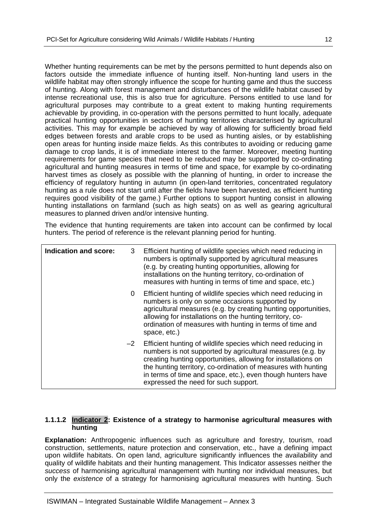Whether hunting requirements can be met by the persons permitted to hunt depends also on factors outside the immediate influence of hunting itself. Non-hunting land users in the wildlife habitat may often strongly influence the scope for hunting game and thus the success of hunting. Along with forest management and disturbances of the wildlife habitat caused by intense recreational use, this is also true for agriculture. Persons entitled to use land for agricultural purposes may contribute to a great extent to making hunting requirements achievable by providing, in co-operation with the persons permitted to hunt locally, adequate practical hunting opportunities in sectors of hunting territories characterised by agricultural activities. This may for example be achieved by way of allowing for sufficiently broad field edges between forests and arable crops to be used as hunting aisles, or by establishing open areas for hunting inside maize fields. As this contributes to avoiding or reducing game damage to crop lands, it is of immediate interest to the farmer. Moreover, meeting hunting requirements for game species that need to be reduced may be supported by co-ordinating agricultural and hunting measures in terms of time and space, for example by co-ordinating harvest times as closely as possible with the planning of hunting, in order to increase the efficiency of regulatory hunting in autumn (in open-land territories, concentrated regulatory hunting as a rule does not start until after the fields have been harvested, as efficient hunting requires good visibility of the game.) Further options to support hunting consist in allowing hunting installations on farmland (such as high seats) on as well as gearing agricultural measures to planned driven and/or intensive hunting.

The evidence that hunting requirements are taken into account can be confirmed by local hunters. The period of reference is the relevant planning period for hunting.

| <b>Indication and score:</b> | 3 | Efficient hunting of wildlife species which need reducing in<br>numbers is optimally supported by agricultural measures<br>(e.g. by creating hunting opportunities, allowing for<br>installations on the hunting territory, co-ordination of<br>measures with hunting in terms of time and space, etc.)                                                                  |
|------------------------------|---|--------------------------------------------------------------------------------------------------------------------------------------------------------------------------------------------------------------------------------------------------------------------------------------------------------------------------------------------------------------------------|
|                              | 0 | Efficient hunting of wildlife species which need reducing in<br>numbers is only on some occasions supported by<br>agricultural measures (e.g. by creating hunting opportunities,<br>allowing for installations on the hunting territory, co-<br>ordination of measures with hunting in terms of time and<br>space, etc.)                                                 |
|                              |   | $-2$ Efficient hunting of wildlife species which need reducing in<br>numbers is not supported by agricultural measures (e.g. by<br>creating hunting opportunities, allowing for installations on<br>the hunting territory, co-ordination of measures with hunting<br>in terms of time and space, etc.), even though hunters have<br>expressed the need for such support. |

#### **1.1.1.2 Indicator 2: Existence of a strategy to harmonise agricultural measures with hunting**

**Explanation:** Anthropogenic influences such as agriculture and forestry, tourism, road construction, settlements, nature protection and conservation, etc., have a defining impact upon wildlife habitats. On open land, agriculture significantly influences the availability and quality of wildlife habitats and their hunting management. This Indicator assesses neither the *success* of harmonising agricultural management with hunting nor individual measures, but only the *existence* of a strategy for harmonising agricultural measures with hunting. Such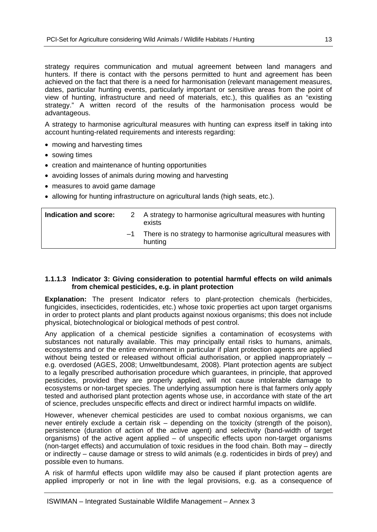strategy requires communication and mutual agreement between land managers and hunters. If there is contact with the persons permitted to hunt and agreement has been achieved on the fact that there is a need for harmonisation (relevant management measures, dates, particular hunting events, particularly important or sensitive areas from the point of view of hunting, infrastructure and need of materials, etc.), this qualifies as an "existing strategy." A written record of the results of the harmonisation process would be advantageous.

A strategy to harmonise agricultural measures with hunting can express itself in taking into account hunting-related requirements and interests regarding:

- mowing and harvesting times
- sowing times
- creation and maintenance of hunting opportunities
- avoiding losses of animals during mowing and harvesting
- measures to avoid game damage
- allowing for hunting infrastructure on agricultural lands (high seats, etc.).

| Indication and score: |      | 2 A strategy to harmonise agricultural measures with hunting<br>exists  |
|-----------------------|------|-------------------------------------------------------------------------|
|                       | $-1$ | There is no strategy to harmonise agricultural measures with<br>hunting |

#### **1.1.1.3 Indicator 3: Giving consideration to potential harmful effects on wild animals from chemical pesticides, e.g. in plant protection**

**Explanation:** The present Indicator refers to plant-protection chemicals (herbicides, fungicides, insecticides, rodenticides, etc.) whose toxic properties act upon target organisms in order to protect plants and plant products against noxious organisms; this does not include physical, biotechnological or biological methods of pest control.

Any application of a chemical pesticide signifies a contamination of ecosystems with substances not naturally available. This may principally entail risks to humans, animals, ecosystems and or the entire environment in particular if plant protection agents are applied without being tested or released without official authorisation, or applied inappropriately – e.g. overdosed (AGES, 2008; Umweltbundesamt, 2008). Plant protection agents are subject to a legally prescribed authorisation procedure which guarantees, in principle, that approved pesticides, provided they are properly applied, will not cause intolerable damage to ecosystems or non-target species. The underlying assumption here is that farmers only apply tested and authorised plant protection agents whose use, in accordance with state of the art of science, precludes unspecific effects and direct or indirect harmful impacts on wildlife.

However, whenever chemical pesticides are used to combat noxious organisms, we can never entirely exclude a certain risk – depending on the toxicity (strength of the poison), persistence (duration of action of the active agent) and selectivity (band-width of target organisms) of the active agent applied – of unspecific effects upon non-target organisms (non-target effects) and accumulation of toxic residues in the food chain. Both may – directly or indirectly – cause damage or stress to wild animals (e.g. rodenticides in birds of prey) and possible even to humans.

A risk of harmful effects upon wildlife may also be caused if plant protection agents are applied improperly or not in line with the legal provisions, e.g. as a consequence of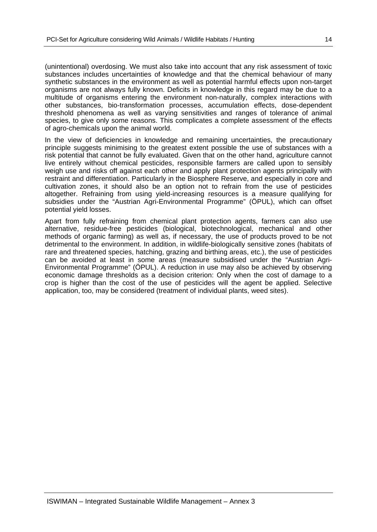(unintentional) overdosing. We must also take into account that any risk assessment of toxic substances includes uncertainties of knowledge and that the chemical behaviour of many synthetic substances in the environment as well as potential harmful effects upon non-target organisms are not always fully known. Deficits in knowledge in this regard may be due to a multitude of organisms entering the environment non-naturally, complex interactions with other substances, bio-transformation processes, accumulation effects, dose-dependent threshold phenomena as well as varying sensitivities and ranges of tolerance of animal species, to give only some reasons. This complicates a complete assessment of the effects of agro-chemicals upon the animal world.

In the view of deficiencies in knowledge and remaining uncertainties, the precautionary principle suggests minimising to the greatest extent possible the use of substances with a risk potential that cannot be fully evaluated. Given that on the other hand, agriculture cannot live entirely without chemical pesticides, responsible farmers are called upon to sensibly weigh use and risks off against each other and apply plant protection agents principally with restraint and differentiation. Particularly in the Biosphere Reserve, and especially in core and cultivation zones, it should also be an option not to refrain from the use of pesticides altogether. Refraining from using yield-increasing resources is a measure qualifying for subsidies under the "Austrian Agri-Environmental Programme" (ÖPUL), which can offset potential yield losses.

Apart from fully refraining from chemical plant protection agents, farmers can also use alternative, residue-free pesticides (biological, biotechnological, mechanical and other methods of organic farming) as well as, if necessary, the use of products proved to be not detrimental to the environment. In addition, in wildlife-biologically sensitive zones (habitats of rare and threatened species, hatching, grazing and birthing areas, etc.), the use of pesticides can be avoided at least in some areas (measure subsidised under the "Austrian Agri-Environmental Programme" (ÖPUL). A reduction in use may also be achieved by observing economic damage thresholds as a decision criterion: Only when the cost of damage to a crop is higher than the cost of the use of pesticides will the agent be applied. Selective application, too, may be considered (treatment of individual plants, weed sites).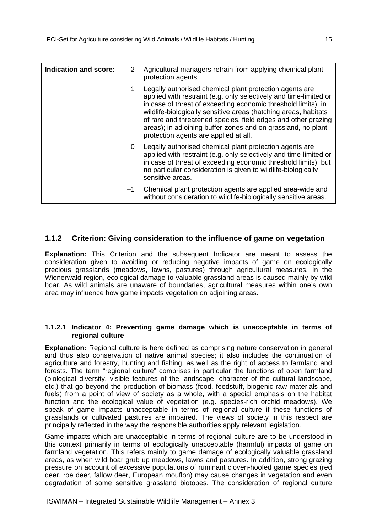| Indication and score: | 2  | Agricultural managers refrain from applying chemical plant<br>protection agents                                                                                                                                                                                                                                                                                                                                                            |
|-----------------------|----|--------------------------------------------------------------------------------------------------------------------------------------------------------------------------------------------------------------------------------------------------------------------------------------------------------------------------------------------------------------------------------------------------------------------------------------------|
|                       |    | Legally authorised chemical plant protection agents are<br>applied with restraint (e.g. only selectively and time-limited or<br>in case of threat of exceeding economic threshold limits); in<br>wildlife-biologically sensitive areas (hatching areas, habitats<br>of rare and threatened species, field edges and other grazing<br>areas); in adjoining buffer-zones and on grassland, no plant<br>protection agents are applied at all. |
|                       | 0  | Legally authorised chemical plant protection agents are<br>applied with restraint (e.g. only selectively and time-limited or<br>in case of threat of exceeding economic threshold limits), but<br>no particular consideration is given to wildlife-biologically<br>sensitive areas.                                                                                                                                                        |
|                       | -1 | Chemical plant protection agents are applied area-wide and<br>without consideration to wildlife-biologically sensitive areas.                                                                                                                                                                                                                                                                                                              |

## **1.1.2 Criterion: Giving consideration to the influence of game on vegetation**

**Explanation:** This Criterion and the subsequent Indicator are meant to assess the consideration given to avoiding or reducing negative impacts of game on ecologically precious grasslands (meadows, lawns, pastures) through agricultural measures. In the Wienerwald region, ecological damage to valuable grassland areas is caused mainly by wild boar. As wild animals are unaware of boundaries, agricultural measures within one's own area may influence how game impacts vegetation on adjoining areas.

### **1.1.2.1 Indicator 4: Preventing game damage which is unacceptable in terms of regional culture**

**Explanation:** Regional culture is here defined as comprising nature conservation in general and thus also conservation of native animal species; it also includes the continuation of agriculture and forestry, hunting and fishing, as well as the right of access to farmland and forests. The term "regional culture" comprises in particular the functions of open farmland (biological diversity, visible features of the landscape, character of the cultural landscape, etc.) that go beyond the production of biomass (food, feedstuff, biogenic raw materials and fuels) from a point of view of society as a whole, with a special emphasis on the habitat function and the ecological value of vegetation (e.g. species-rich orchid meadows). We speak of game impacts unacceptable in terms of regional culture if these functions of grasslands or cultivated pastures are impaired. The views of society in this respect are principally reflected in the way the responsible authorities apply relevant legislation.

Game impacts which are unacceptable in terms of regional culture are to be understood in this context primarily in terms of ecologically unacceptable (harmful) impacts of game on farmland vegetation. This refers mainly to game damage of ecologically valuable grassland areas, as when wild boar grub up meadows, lawns and pastures. In addition, strong grazing pressure on account of excessive populations of ruminant cloven-hoofed game species (red deer, roe deer, fallow deer, European mouflon) may cause changes in vegetation and even degradation of some sensitive grassland biotopes. The consideration of regional culture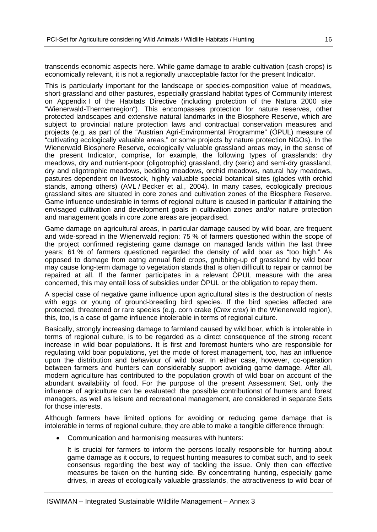transcends economic aspects here. While game damage to arable cultivation (cash crops) is economically relevant, it is not a regionally unacceptable factor for the present Indicator.

This is particularly important for the landscape or species-composition value of meadows, short-grassland and other pastures, especially grassland habitat types of Community interest on Appendix I of the Habitats Directive (including protection of the Natura 2000 site "Wienerwald-Thermenregion"). This encompasses protection for nature reserves, other protected landscapes and extensive natural landmarks in the Biosphere Reserve, which are subject to provincial nature protection laws and contractual conservation measures and projects (e.g. as part of the "Austrian Agri-Environmental Programme" (ÖPUL) measure of "cultivating ecologically valuable areas," or some projects by nature protection NGOs). In the Wienerwald Biosphere Reserve, ecologically valuable grassland areas may, in the sense of the present Indicator, comprise, for example, the following types of grasslands: dry meadows, dry and nutrient-poor (oligotrophic) grassland, dry (xeric) and semi-dry grassland, dry and oligotrophic meadows, bedding meadows, orchid meadows, natural hay meadows, pastures dependent on livestock, highly valuable special botanical sites (glades with orchid stands, among others) (AVL / Becker et al., 2004). In many cases, ecologically precious grassland sites are situated in core zones and cultivation zones of the Biosphere Reserve. Game influence undesirable in terms of regional culture is caused in particular if attaining the envisaged cultivation and development goals in cultivation zones and/or nature protection and management goals in core zone areas are jeopardised.

Game damage on agricultural areas, in particular damage caused by wild boar, are frequent and wide-spread in the Wienerwald region: 75 % of farmers questioned within the scope of the project confirmed registering game damage on managed lands within the last three years; 61 % of farmers questioned regarded the density of wild boar as "too high." As opposed to damage from eatng annual field crops, grubbing-up of grassland by wild boar may cause long-term damage to vegetation stands that is often difficult to repair or cannot be repaired at all. If the farmer participates in a relevant ÖPUL measure with the area concerned, this may entail loss of subsidies under ÖPUL or the obligation to repay them.

A special case of negative game influence upon agricultural sites is the destruction of nests with eggs or young of ground-breeding bird species. If the bird species affected are protected, threatened or rare species (e.g. corn crake (*Crex crex*) in the Wienerwald region), this, too, is a case of game influence intolerable in terms of regional culture.

Basically, strongly increasing damage to farmland caused by wild boar, which is intolerable in terms of regional culture, is to be regarded as a direct consequence of the strong recent increase in wild boar populations. It is first and foremost hunters who are responsible for regulating wild boar populations, yet the mode of forest management, too, has an influence upon the distribution and behaviour of wild boar. In either case, however, co-operation between farmers and hunters can considerably support avoiding game damage. After all, modern agriculture has contributed to the population growth of wild boar on account of the abundant availability of food. For the purpose of the present Assessment Set, only the influence of agriculture can be evaluated: the possible contributionst of hunters and forest managers, as well as leisure and recreational management, are considered in separate Sets for those interests.

Although farmers have limited options for avoiding or reducing game damage that is intolerable in terms of regional culture, they are able to make a tangible difference through:

Communication and harmonising measures with hunters:

It is crucial for farmers to inform the persons locally responsible for hunting about game damage as it occurs, to request hunting measures to combat such, and to seek consensus regarding the best way of tackling the issue. Only then can effective measures be taken on the hunting side. By concentrating hunting, especially game drives, in areas of ecologically valuable grasslands, the attractiveness to wild boar of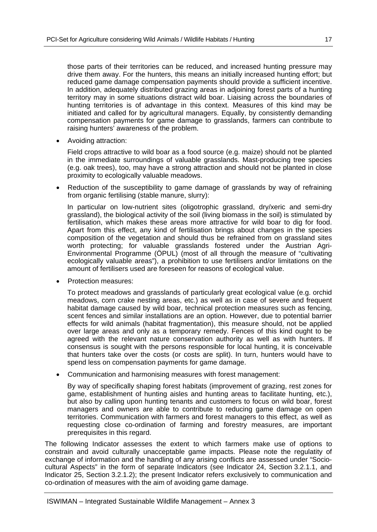those parts of their territories can be reduced, and increased hunting pressure may drive them away. For the hunters, this means an initially increased hunting effort; but reduced game damage compensation payments should provide a sufficient incentive. In addition, adequately distributed grazing areas in adjoining forest parts of a hunting territory may in some situations distract wild boar. Liaising across the boundaries of hunting territories is of advantage in this context. Measures of this kind may be initiated and called for by agricultural managers. Equally, by consistently demanding compensation payments for game damage to grasslands, farmers can contribute to raising hunters' awareness of the problem.

Avoiding attraction:

Field crops attractive to wild boar as a food source (e.g. maize) should not be planted in the immediate surroundings of valuable grasslands. Mast-producing tree species (e.g. oak trees), too, may have a strong attraction and should not be planted in close proximity to ecologically valuable meadows.

• Reduction of the susceptibility to game damage of grasslands by way of refraining from organic fertilising (stable manure, slurry):

In particular on low-nutrient sites (oligotrophic grassland, dry/xeric and semi-dry grassland), the biological activity of the soil (living biomass in the soil) is stimulated by fertilisation, which makes these areas more attractive for wild boar to dig for food. Apart from this effect, any kind of fertilisation brings about changes in the species composition of the vegetation and should thus be refrained from on grassland sites worth protecting; for valuable grasslands fostered under the Austrian Agri-Environmental Programme (ÖPUL) (most of all through the measure of "cultivating ecologically valuable areas"), a prohibition to use fertilisers and/or limitations on the amount of fertilisers used are foreseen for reasons of ecological value.

Protection measures:

To protect meadows and grasslands of particularly great ecological value (e.g. orchid meadows, corn crake nesting areas, etc.) as well as in case of severe and frequent habitat damage caused by wild boar, technical protection measures such as fencing. scent fences and similar installations are an option. However, due to potential barrier effects for wild animals (habitat fragmentation), this measure should, not be applied over large areas and only as a temporary remedy. Fences of this kind ought to be agreed with the relevant nature conservation authority as well as with hunters. If consensus is sought with the persons responsible for local hunting, it is conceivable that hunters take over the costs (or costs are split). In turn, hunters would have to spend less on compensation payments for game damage.

Communication and harmonising measures with forest management:

By way of specifically shaping forest habitats (improvement of grazing, rest zones for game, establishment of hunting aisles and hunting areas to facilitate hunting, etc.), but also by calling upon hunting tenants and customers to focus on wild boar, forest managers and owners are able to contribute to reducing game damage on open territories. Communication with farmers and forest managers to this effect, as well as requesting close co-ordination of farming and forestry measures, are important prerequisites in this regard.

The following Indicator assesses the extent to which farmers make use of options to constrain and avoid culturally unacceptable game impacts. Please note the regulatity of exchange of information and the handling of any arising conflicts are assessed under "Sociocultural Aspects" in the form of separate Indicators (see Indicator 24, Section 3.2.1.1, and Indicator 25, Section 3.2.1.2); the present Indicator refers exclusively to communication and co-ordination of measures with the aim of avoiding game damage.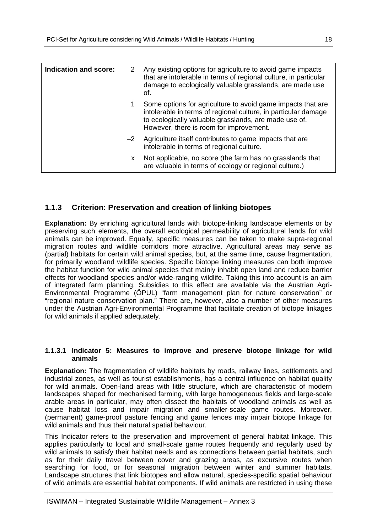| Indication and score: | 2    | Any existing options for agriculture to avoid game impacts<br>that are intolerable in terms of regional culture, in particular<br>damage to ecologically valuable grasslands, are made use<br>of.                                 |
|-----------------------|------|-----------------------------------------------------------------------------------------------------------------------------------------------------------------------------------------------------------------------------------|
|                       | 1    | Some options for agriculture to avoid game impacts that are<br>intolerable in terms of regional culture, in particular damage<br>to ecologically valuable grasslands, are made use of.<br>However, there is room for improvement. |
|                       | $-2$ | Agriculture itself contributes to game impacts that are<br>intolerable in terms of regional culture.                                                                                                                              |
|                       | X.   | Not applicable, no score (the farm has no grasslands that<br>are valuable in terms of ecology or regional culture.)                                                                                                               |

## **1.1.3 Criterion: Preservation and creation of linking biotopes**

**Explanation:** By enriching agricultural lands with biotope-linking landscape elements or by preserving such elements, the overall ecological permeability of agricultural lands for wild animals can be improved. Equally, specific measures can be taken to make supra-regional migration routes and wildlife corridors more attractive. Agricultural areas may serve as (partial) habitats for certain wild animal species, but, at the same time, cause fragmentation, for primarily woodland wildlife species. Specific biotope linking measures can both improve the habitat function for wild animal species that mainly inhabit open land and reduce barrier effects for woodland species and/or wide-ranging wildlife. Taking this into account is an aim of integrated farm planning. Subsidies to this effect are available via the Austrian Agri-Environmental Programme (ÖPUL) "farm management plan for nature conservation" or "regional nature conservation plan." There are, however, also a number of other measures under the Austrian Agri-Environmental Programme that facilitate creation of biotope linkages for wild animals if applied adequately.

#### **1.1.3.1 Indicator 5: Measures to improve and preserve biotope linkage for wild animals**

**Explanation:** The fragmentation of wildlife habitats by roads, railway lines, settlements and industrial zones, as well as tourist establishments, has a central influence on habitat quality for wild animals. Open-land areas with little structure, which are characteristic of modern landscapes shaped for mechanised farming, with large homogeneous fields and large-scale arable areas in particular, may often dissect the habitats of woodland animals as well as cause habitat loss and impair migration and smaller-scale game routes. Moreover, (permanent) game-proof pasture fencing and game fences may impair biotope linkage for wild animals and thus their natural spatial behaviour.

This Indicator refers to the preservation and improvement of general habitat linkage. This applies particularly to local and small-scale game routes frequently and regularly used by wild animals to satisfy their habitat needs and as connections between partial habitats, such as for their daily travel between cover and grazing areas, as excursive routes when searching for food, or for seasonal migration between winter and summer habitats. Landscape structures that link biotopes and allow natural, species-specific spatial behaviour of wild animals are essential habitat components. If wild animals are restricted in using these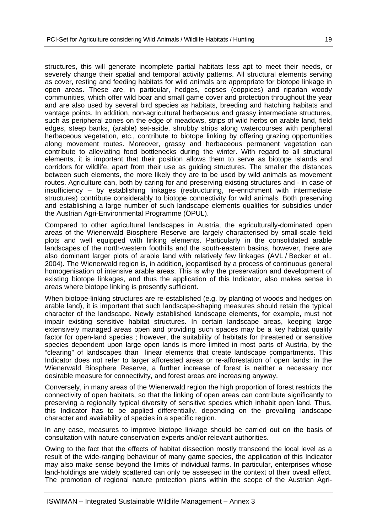structures, this will generate incomplete partial habitats less apt to meet their needs, or severely change their spatial and temporal activity patterns. All structural elements serving as cover, resting and feeding habitats for wild animals are appropriate for biotope linkage in open areas. These are, in particular, hedges, copses (coppices) and riparian woody communities, which offer wild boar and small game cover and protection throughout the year and are also used by several bird species as habitats, breeding and hatching habitats and vantage points. In addition, non-agricultural herbaceous and grassy intermediate structures, such as peripheral zones on the edge of meadows, strips of wild herbs on arable land, field edges, steep banks, (arable) set-aside, shrubby strips along watercourses with peripheral herbaceous vegetation, etc., contribute to biotope linking by offering grazing opportunities along movement routes. Moreover, grassy and herbaceous permanent vegetation can contribute to alleviating food bottlenecks during the winter. With regard to all structural elements, it is important that their position allows them to serve as biotope islands and corridors for wildlife, apart from their use as guiding structures. The smaller the distances between such elements, the more likely they are to be used by wild animals as movement routes. Agriculture can, both by caring for and preserving existing structures and - in case of insufficiency – by establishing linkages (restructuring, re-enrichment with intermediate structures) contribute considerably to biotope connectivity for wild animals. Both preserving and establishing a large number of such landscape elements qualifies for subsidies under the Austrian Agri-Environmental Programme (ÖPUL).

Compared to other agricultural landscapes in Austria, the agriculturally-dominated open areas of the Wienerwald Biosphere Reserve are largely characterised by small-scale field plots and well equipped with linking elements. Particularly in the consolidated arable landscapes of the north-western foothills and the south-eastern basins, however, there are also dominant larger plots of arable land with relatively few linkages (AVL / Becker et al., 2004). The Wienerwald region is, in addition, jeopardised by a process of continuous general homogenisation of intensive arable areas. This is why the preservation and development of existing biotope linkages, and thus the application of this Indicator, also makes sense in areas where biotope linking is presently sufficient.

When biotope-linking structures are re-established (e.g. by planting of woods and hedges on arable land), it is important that such landscape-shaping measures should retain the typical character of the landscape. Newly established landscape elements, for example, must not impair existing sensitive habitat structures. In certain landscape areas, keeping large extensively managed areas open and providing such spaces may be a key habitat quality factor for open-land species ; however, the suitability of habitats for threatened or sensitive species dependent upon large open lands is more limited in most parts of Austria, by the "clearing" of landscapes than linear elements that create landscape compartments. This Indicator does not refer to larger afforested areas or re-afforestation of open lands: in the Wienerwald Biosphere Reserve, a further increase of forest is neither a necessary nor desirable measure for connectivity, and forest areas are increasing anyway.

Conversely, in many areas of the Wienerwald region the high proportion of forest restricts the connectivity of open habitats, so that the linking of open areas can contribute significantly to preserving a regionally typical diversity of sensitive species which inhabit open land. Thus, this Indicator has to be applied differentially, depending on the prevailing landscape character and availability of species in a specific region.

In any case, measures to improve biotope linkage should be carried out on the basis of consultation with nature conservation experts and/or relevant authorities.

Owing to the fact that the effects of habitat dissection mostly transcend the local level as a result of the wide-ranging behaviour of many game species, the application of this Indicator may also make sense beyond the limits of individual farms. In particular, enterprises whose land-holdings are widely scattered can only be assessed in the context of their oveall effect. The promotion of regional nature protection plans within the scope of the Austrian Agri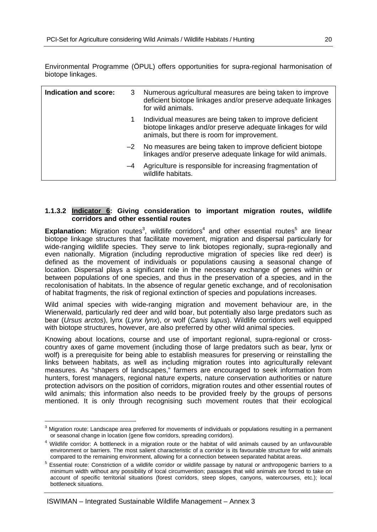Environmental Programme (ÖPUL) offers opportunities for supra-regional harmonisation of biotope linkages.

| Indication and score: | 3    | Numerous agricultural measures are being taken to improve<br>deficient biotope linkages and/or preserve adequate linkages<br>for wild animals.                         |
|-----------------------|------|------------------------------------------------------------------------------------------------------------------------------------------------------------------------|
|                       | 1    | Individual measures are being taken to improve deficient<br>biotope linkages and/or preserve adequate linkages for wild<br>animals, but there is room for improvement. |
|                       | $-2$ | No measures are being taken to improve deficient biotope<br>linkages and/or preserve adequate linkage for wild animals.                                                |
|                       | -4   | Agriculture is responsible for increasing fragmentation of<br>wildlife habitats.                                                                                       |

#### **1.1.3.2 Indicator 6: Giving consideration to important migration routes, wildlife corridors and other essential routes**

Explanation: Migration routes<sup>3</sup>, wildlife corridors<sup>4</sup> and other essential routes<sup>5</sup> are linear biotope linkage structures that facilitate movement, migration and dispersal particularly for wide-ranging wildlife species. They serve to link biotopes regionally, supra-regionally and even nationally. Migration (including reproductive migration of species like red deer) is defined as the movement of individuals or populations causing a seasonal change of location. Dispersal plays a significant role in the necessary exchange of genes within or between populations of one species, and thus in the preservation of a species, and in the recolonisation of habitats. In the absence of regular genetic exchange, and of recolonisation of habitat fragments, the risk of regional extinction of species and populations increases.

Wild animal species with wide-ranging migration and movement behaviour are, in the Wienerwald, particularly red deer and wild boar, but potentially also large predators such as bear (*Ursus arctos*), lynx (*Lynx lynx*), or wolf (*Canis lupus*). Wildlife corridors well equipped with biotope structures, however, are also preferred by other wild animal species.

Knowing about locations, course and use of important regional, supra-regional or crosscountry axes of game movement (including those of large predators such as bear, lynx or wolf) is a prerequisite for being able to establish measures for preserving or reinstalling the links between habitats, as well as including migration routes into agriculturally relevant measures. As "shapers of landscapes," farmers are encouraged to seek information from hunters, forest managers, regional nature experts, nature conservation authorities or nature protection advisors on the position of corridors, migration routes and other essential routes of wild animals; this information also needs to be provided freely by the groups of persons mentioned. It is only through recognising such movement routes that their ecological

-

 $3$  Migration route: Landscape area preferred for movements of individuals or populations resulting in a permanent or seasonal change in location (gene flow corridors, spreading corridors).

<sup>&</sup>lt;sup>4</sup> Wildlife corridor: A bottleneck in a migration route or the habitat of wild animals caused by an unfavourable environment or barriers. The most salient characteristic of a corridor is its favourable structure for wild animals compared to the remaining environment, allowing for a connection between separated habitat areas.

<sup>&</sup>lt;sup>5</sup> Essential route: Constriction of a wildlife corridor or wildlife passage by natural or anthropogenic barriers to a minimum width without any possibility of local circumvention; passages that wild animals are forced to take on account of specific territorial situations (forest corridors, steep slopes, canyons, watercourses, etc.); local bottleneck situations.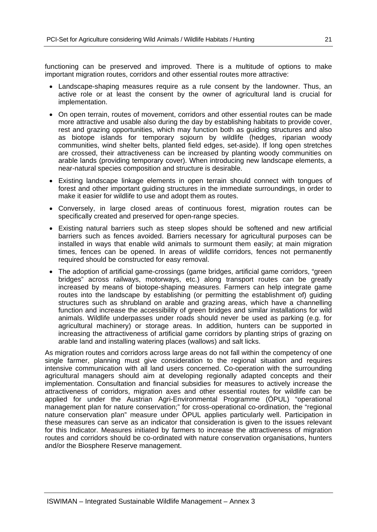functioning can be preserved and improved. There is a multitude of options to make important migration routes, corridors and other essential routes more attractive:

- Landscape-shaping measures require as a rule consent by the landowner. Thus, an active role or at least the consent by the owner of agricultural land is crucial for implementation.
- On open terrain, routes of movement, corridors and other essential routes can be made more attractive and usable also during the day by establishing habitats to provide cover, rest and grazing opportunities, which may function both as guiding structures and also as biotope islands for temporary sojourn by wildlife (hedges, riparian woody communities, wind shelter belts, planted field edges, set-aside). If long open stretches are crossed, their attractiveness can be increased by planting woody communities on arable lands (providing temporary cover). When introducing new landscape elements, a near-natural species composition and structure is desirable.
- Existing landscape linkage elements in open terrain should connect with tongues of forest and other important guiding structures in the immediate surroundings, in order to make it easier for wildlife to use and adopt them as routes.
- Conversely, in large closed areas of continuous forest, migration routes can be specifically created and preserved for open-range species.
- Existing natural barriers such as steep slopes should be softened and new artificial barriers such as fences avoided. Barriers necessary for agricultural purposes can be installed in ways that enable wild animals to surmount them easily; at main migration times, fences can be opened. In areas of wildlife corridors, fences not permanently required should be constructed for easy removal.
- The adoption of artificial game-crossings (game bridges, artificial game corridors, "green bridges" across railways, motorways, etc.) along transport routes can be greatly increased by means of biotope-shaping measures. Farmers can help integrate game routes into the landscape by establishing (or permitting the establishment of) guiding structures such as shrubland on arable and grazing areas, which have a channelling function and increase the accessibility of green bridges and similar installations for wild animals. Wildlife underpasses under roads should never be used as parking (e.g. for agricultural machinery) or storage areas. In addition, hunters can be supported in increasing the attractiveness of artificial game corridors by planting strips of grazing on arable land and installing watering places (wallows) and salt licks.

As migration routes and corridors across large areas do not fall within the competency of one single farmer, planning must give consideration to the regional situation and requires intensive communication with all land users concerned. Co-operation with the surrounding agricultural managers should aim at developing regionally adapted concepts and their implementation. Consultation and financial subsidies for measures to actively increase the attractiveness of corridors, migration axes and other essential routes for wildlife can be applied for under the Austrian Agri-Environmental Programme (ÖPUL) "operational management plan for nature conservation;" for cross-operational co-ordination, the "regional nature conservation plan" measure under ÖPUL applies particularly well. Participation in these measures can serve as an indicator that consideration is given to the issues relevant for this Indicator. Measures initiated by farmers to increase the attractiveness of migration routes and corridors should be co-ordinated with nature conservation organisations, hunters and/or the Biosphere Reserve management.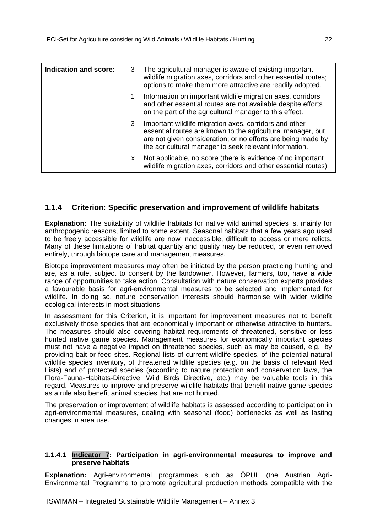| Indication and score: | 3    | The agricultural manager is aware of existing important<br>wildlife migration axes, corridors and other essential routes;<br>options to make them more attractive are readily adopted.                                                          |
|-----------------------|------|-------------------------------------------------------------------------------------------------------------------------------------------------------------------------------------------------------------------------------------------------|
|                       | 1.   | Information on important wildlife migration axes, corridors<br>and other essential routes are not available despite efforts<br>on the part of the agricultural manager to this effect.                                                          |
|                       | $-3$ | Important wildlife migration axes, corridors and other<br>essential routes are known to the agricultural manager, but<br>are not given consideration; or no efforts are being made by<br>the agricultural manager to seek relevant information. |
|                       | x.   | Not applicable, no score (there is evidence of no important<br>wildlife migration axes, corridors and other essential routes)                                                                                                                   |

## **1.1.4 Criterion: Specific preservation and improvement of wildlife habitats**

**Explanation:** The suitability of wildlife habitats for native wild animal species is, mainly for anthropogenic reasons, limited to some extent. Seasonal habitats that a few years ago used to be freely accessible for wildlife are now inaccessible, difficult to access or mere relicts. Many of these limitations of habitat quantity and quality may be reduced, or even removed entirely, through biotope care and management measures.

Biotope improvement measures may often be initiated by the person practicing hunting and are, as a rule, subject to consent by the landowner. However, farmers, too, have a wide range of opportunities to take action. Consultation with nature conservation experts provides a favourable basis for agri-environmental measures to be selected and implemented for wildlife. In doing so, nature conservation interests should harmonise with wider wildlife ecological interests in most situations.

In assessment for this Criterion, it is important for improvement measures not to benefit exclusively those species that are economically important or otherwise attractive to hunters. The measures should also covering habitat requirements of threatened, sensitive or less hunted native game species. Management measures for economically important species must not have a negative impact on threatened species, such as may be caused, e.g., by providing bait or feed sites. Regional lists of current wildlife species, of the potential natural wildlife species inventory, of threatened wildlife species (e.g. on the basis of relevant Red Lists) and of protected species (according to nature protection and conservation laws, the Flora-Fauna-Habitats-Directive, Wild Birds Directive, etc.) may be valuable tools in this regard. Measures to improve and preserve wildlife habitats that benefit native game species as a rule also benefit animal species that are not hunted.

The preservation or improvement of wildlife habitats is assessed according to participation in agri-environmental measures, dealing with seasonal (food) bottlenecks as well as lasting changes in area use.

#### **1.1.4.1 Indicator 7: Participation in agri-environmental measures to improve and preserve habitats**

**Explanation:** Agri-environmental programmes such as ÖPUL (the Austrian Agri-Environmental Programme to promote agricultural production methods compatible with the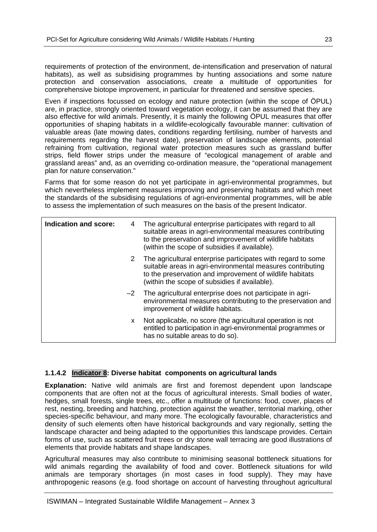requirements of protection of the environment, de-intensification and preservation of natural habitats), as well as subsidising programmes by hunting associations and some nature protection and conservation associations, create a multitude of opportunities for comprehensive biotope improvement, in particular for threatened and sensitive species.

Even if inspections focussed on ecology and nature protection (within the scope of ÖPUL) are, in practice, strongly oriented toward vegetation ecology, it can be assumed that they are also effective for wild animals. Presently, it is mainly the following ÖPUL measures that offer opportunities of shaping habitats in a wildlife-ecologically favourable manner: cultivation of valuable areas (late mowing dates, conditions regarding fertilising, number of harvests and requirements regarding the harvest date), preservation of landscape elements, potential refraining from cultivation, regional water protection measures such as grassland buffer strips, field flower strips under the measure of "ecological management of arable and grassland areas" and, as an overriding co-ordination measure, the "operational management plan for nature conservation."

Farms that for some reason do not yet participate in agri-environmental programmes, but which nevertheless implement measures improving and preserving habitats and which meet the standards of the subsidising regulations of agri-environmental programmes, will be able to assess the implementation of such measures on the basis of the present Indicator.

| Indication and score: | 4    | The agricultural enterprise participates with regard to all<br>suitable areas in agri-environmental measures contributing<br>to the preservation and improvement of wildlife habitats<br>(within the scope of subsidies if available).  |
|-----------------------|------|-----------------------------------------------------------------------------------------------------------------------------------------------------------------------------------------------------------------------------------------|
|                       | 2    | The agricultural enterprise participates with regard to some<br>suitable areas in agri-environmental measures contributing<br>to the preservation and improvement of wildlife habitats<br>(within the scope of subsidies if available). |
|                       | $-2$ | The agricultural enterprise does not participate in agri-<br>environmental measures contributing to the preservation and<br>improvement of wildlife habitats.                                                                           |
|                       | X.   | Not applicable, no score (the agricultural operation is not<br>entitled to participation in agri-environmental programmes or<br>has no suitable areas to do so).                                                                        |

### **1.1.4.2 Indicator 8: Diverse habitat components on agricultural lands**

**Explanation:** Native wild animals are first and foremost dependent upon landscape components that are often not at the focus of agricultural interests. Small bodies of water, hedges, small forests, single trees, etc., offer a multitude of functions; food, cover, places of rest, nesting, breeding and hatching, protection against the weather, territorial marking, other species-specific behaviour, and many more. The ecologically favourable, characteristics and density of such elements often have historical backgrounds and vary regionally, setting the landscape character and being adapted to the opportunities this landscape provides. Certain forms of use, such as scattered fruit trees or dry stone wall terracing are good illustrations of elements that provide habitats and shape landscapes.

Agricultural measures may also contribute to minimising seasonal bottleneck situations for wild animals regarding the availability of food and cover. Bottleneck situations for wild animals are temporary shortages (in most cases in food supply). They may have anthropogenic reasons (e.g. food shortage on account of harvesting throughout agricultural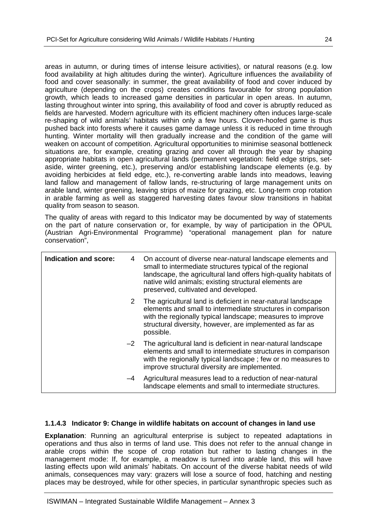areas in autumn, or during times of intense leisure activities), or natural reasons (e.g. low food availability at high altitudes during the winter). Agriculture influences the availability of food and cover seasonally: in summer, the great availability of food and cover induced by agriculture (depending on the crops) creates conditions favourable for strong population growth, which leads to increased game densities in particular in open areas. In autumn, lasting throughout winter into spring, this availability of food and cover is abruptly reduced as fields are harvested. Modern agriculture with its efficient machinery often induces large-scale re-shaping of wild animals' habitats within only a few hours. Cloven-hoofed game is thus pushed back into forests where it causes game damage unless it is reduced in time through hunting. Winter mortality will then gradually increase and the condition of the game will weaken on account of competition. Agricultural opportunities to minimise seasonal bottleneck situations are, for example, creating grazing and cover all through the year by shaping appropriate habitats in open agricultural lands (permanent vegetation: field edge strips, setaside, winter greening, etc.), preserving and/or establishing landscape elements (e.g. by avoiding herbicides at field edge, etc.), re-converting arable lands into meadows, leaving land fallow and management of fallow lands, re-structuring of large management units on arable land, winter greening, leaving strips of maize for grazing, etc. Long-term crop rotation in arable farming as well as staggered harvesting dates favour slow transitions in habitat quality from season to season.

The quality of areas with regard to this Indicator may be documented by way of statements on the part of nature conservation or, for example, by way of participation in the ÖPUL (Austrian Agri-Environmental Programme) "operational management plan for nature conservation",

| Indication and score: | 4    | On account of diverse near-natural landscape elements and<br>small to intermediate structures typical of the regional<br>landscape, the agricultural land offers high-quality habitats of<br>native wild animals; existing structural elements are<br>preserved, cultivated and developed. |
|-----------------------|------|--------------------------------------------------------------------------------------------------------------------------------------------------------------------------------------------------------------------------------------------------------------------------------------------|
|                       | 2    | The agricultural land is deficient in near-natural landscape<br>elements and small to intermediate structures in comparison<br>with the regionally typical landscape; measures to improve<br>structural diversity, however, are implemented as far as<br>possible.                         |
|                       | $-2$ | The agricultural land is deficient in near-natural landscape<br>elements and small to intermediate structures in comparison<br>with the regionally typical landscape; few or no measures to<br>improve structural diversity are implemented.                                               |
|                       | $-4$ | Agricultural measures lead to a reduction of near-natural<br>landscape elements and small to intermediate structures.                                                                                                                                                                      |

### **1.1.4.3 Indicator 9: Change in wildlife habitats on account of changes in land use**

**Explanation**: Running an agricultural enterprise is subject to repeated adaptations in operations and thus also in terms of land use. This does not refer to the annual change in arable crops within the scope of crop rotation but rather to lasting changes in the management mode: If, for example, a meadow is turned into arable land, this will have lasting effects upon wild animals' habitats. On account of the diverse habitat needs of wild animals, consequences may vary: grazers will lose a source of food, hatching and nesting places may be destroyed, while for other species, in particular synanthropic species such as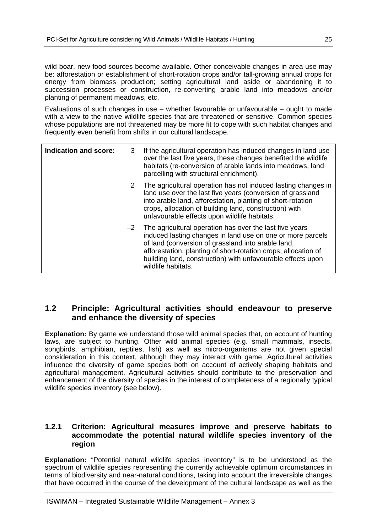wild boar, new food sources become available. Other conceivable changes in area use may be: afforestation or establishment of short-rotation crops and/or tall-growing annual crops for energy from biomass production; setting agricultural land aside or abandoning it to succession processes or construction, re-converting arable land into meadows and/or planting of permanent meadows, etc.

Evaluations of such changes in use – whether favourable or unfavourable – ought to made with a view to the native wildlife species that are threatened or sensitive. Common species whose populations are not threatened may be more fit to cope with such habitat changes and frequently even benefit from shifts in our cultural landscape.

| <b>Indication and score:</b> | 3    | If the agricultural operation has induced changes in land use<br>over the last five years, these changes benefited the wildlife<br>habitats (re-conversion of arable lands into meadows, land<br>parcelling with structural enrichment).                                                                                           |
|------------------------------|------|------------------------------------------------------------------------------------------------------------------------------------------------------------------------------------------------------------------------------------------------------------------------------------------------------------------------------------|
|                              | 2    | The agricultural operation has not induced lasting changes in<br>land use over the last five years (conversion of grassland<br>into arable land, afforestation, planting of short-rotation<br>crops, allocation of building land, construction) with<br>unfavourable effects upon wildlife habitats.                               |
|                              | $-2$ | The agricultural operation has over the last five years<br>induced lasting changes in land use on one or more parcels<br>of land (conversion of grassland into arable land,<br>afforestation, planting of short-rotation crops, allocation of<br>building land, construction) with unfavourable effects upon<br>wildlife habitats. |

## **1.2 Principle: Agricultural activities should endeavour to preserve and enhance the diversity of species**

**Explanation:** By game we understand those wild animal species that, on account of hunting laws, are subject to hunting. Other wild animal species (e.g. small mammals, insects, songbirds, amphibian, reptiles, fish) as well as micro-organisms are not given special consideration in this context, although they may interact with game. Agricultural activities influence the diversity of game species both on account of actively shaping habitats and agricultural management. Agricultural activities should contribute to the preservation and enhancement of the diversity of species in the interest of completeness of a regionally typical wildlife species inventory (see below).

## **1.2.1 Criterion: Agricultural measures improve and preserve habitats to accommodate the potential natural wildlife species inventory of the region**

**Explanation:** "Potential natural wildlife species inventory" is to be understood as the spectrum of wildlife species representing the currently achievable optimum circumstances in terms of biodiversity and near-natural conditions, taking into account the irreversible changes that have occurred in the course of the development of the cultural landscape as well as the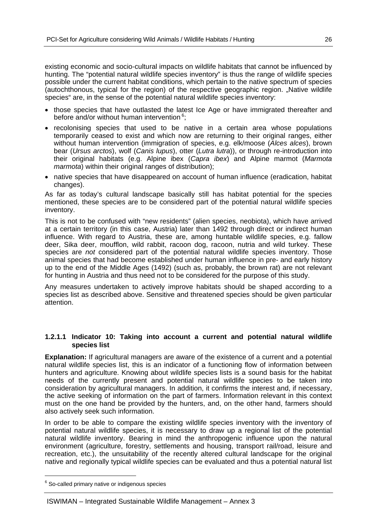existing economic and socio-cultural impacts on wildlife habitats that cannot be influenced by hunting. The "potential natural wildlife species inventory" is thus the range of wildlife species possible under the current habitat conditions, which pertain to the native spectrum of species (autochthonous, typical for the region) of the respective geographic region. "Native wildlife species" are, in the sense of the potential natural wildlife species inventory:

- those species that have outlasted the latest Ice Age or have immigrated thereafter and before and/or without human intervention  $6$ ;
- recolonising species that used to be native in a certain area whose populations temporarily ceased to exist and which now are returning to their original ranges, either without human intervention (immigration of species, e.g. elk/moose (*Alces alces*), brown bear (*Ursus arctos*), wolf (*Canis lupus*), otter (*Lutra lutra*)), or through re-introduction into their original habitats (e.g. Alpine ibex (*Capra ibex*) and Alpine marmot (*Marmota marmota*) within their original ranges of distribution);
- native species that have disappeared on account of human influence (eradication, habitat changes).

As far as today's cultural landscape basically still has habitat potential for the species mentioned, these species are to be considered part of the potential natural wildlife species inventory.

This is not to be confused with "new residents" (alien species, neobiota), which have arrived at a certain territory (in this case, Austria) later than 1492 through direct or indirect human influence. With regard to Austria, these are, among huntable wildlife species, e.g. fallow deer, Sika deer, moufflon, wild rabbit, racoon dog, racoon, nutria and wild turkey. These species are *not* considered part of the potential natural wildlife species inventory. Those animal species that had become established under human influence in pre- and early history up to the end of the Middle Ages (1492) (such as, probably, the brown rat) are not relevant for hunting in Austria and thus need not to be considered for the purpose of this study.

Any measures undertaken to actively improve habitats should be shaped according to a species list as described above. Sensitive and threatened species should be given particular attention.

#### **1.2.1.1 Indicator 10: Taking into account a current and potential natural wildlife species list**

**Explanation:** If agricultural managers are aware of the existence of a current and a potential natural wildlife species list, this is an indicator of a functioning flow of information between hunters and agriculture. Knowing about wildlife species lists is a sound basis for the habitat needs of the currently present and potential natural wildlife species to be taken into consideration by agricultural managers. In addition, it confirms the interest and, if necessary, the active seeking of information on the part of farmers. Information relevant in this context must on the one hand be provided by the hunters, and, on the other hand, farmers should also actively seek such information.

In order to be able to compare the existing wildlife species inventory with the inventory of potential natural wildlife species, it is necessary to draw up a regional list of the potential natural wildlife inventory. Bearing in mind the anthropogenic influence upon the natural environment (agriculture, forestry, settlements and housing, transport rail/road, leisure and recreation, etc.), the unsuitability of the recently altered cultural landscape for the original native and regionally typical wildlife species can be evaluated and thus a potential natural list

-

 $6$  So-called primary native or indigenous species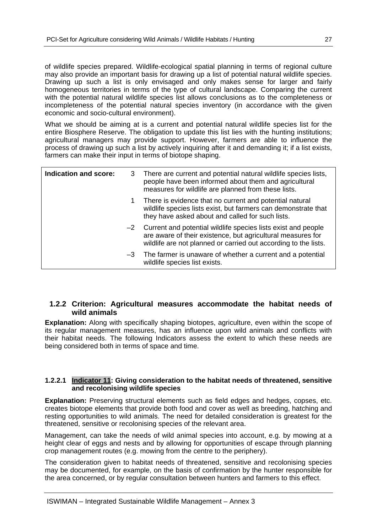of wildlife species prepared. Wildlife-ecological spatial planning in terms of regional culture may also provide an important basis for drawing up a list of potential natural wildlife species. Drawing up such a list is only envisaged and only makes sense for larger and fairly homogeneous territories in terms of the type of cultural landscape. Comparing the current with the potential natural wildlife species list allows conclusions as to the completeness or incompleteness of the potential natural species inventory (in accordance with the given economic and socio-cultural environment).

What we should be aiming at is a current and potential natural wildlife species list for the entire Biosphere Reserve. The obligation to update this list lies with the hunting institutions; agricultural managers may provide support. However, farmers are able to influence the process of drawing up such a list by actively inquiring after it and demanding it; if a list exists, farmers can make their input in terms of biotope shaping.

| Indication and score: |      | 3 There are current and potential natural wildlife species lists,<br>people have been informed about them and agricultural<br>measures for wildlife are planned from these lists.                    |
|-----------------------|------|------------------------------------------------------------------------------------------------------------------------------------------------------------------------------------------------------|
|                       | 1.   | There is evidence that no current and potential natural<br>wildlife species lists exist, but farmers can demonstrate that<br>they have asked about and called for such lists.                        |
|                       |      | $-2$ Current and potential wildlife species lists exist and people<br>are aware of their existence, but agricultural measures for<br>wildlife are not planned or carried out according to the lists. |
|                       | $-3$ | The farmer is unaware of whether a current and a potential<br>wildlife species list exists.                                                                                                          |

### **1.2.2 Criterion: Agricultural measures accommodate the habitat needs of wild animals**

**Explanation:** Along with specifically shaping biotopes, agriculture, even within the scope of its regular management measures, has an influence upon wild animals and conflicts with their habitat needs. The following Indicators assess the extent to which these needs are being considered both in terms of space and time.

### **1.2.2.1 Indicator 11: Giving consideration to the habitat needs of threatened, sensitive and recolonising wildlife species**

**Explanation:** Preserving structural elements such as field edges and hedges, copses, etc. creates biotope elements that provide both food and cover as well as breeding, hatching and resting opportunities to wild animals. The need for detailed consideration is greatest for the threatened, sensitive or recolonising species of the relevant area.

Management, can take the needs of wild animal species into account, e.g. by mowing at a height clear of eggs and nests and by allowing for opportunities of escape through planning crop management routes (e.g. mowing from the centre to the periphery).

The consideration given to habitat needs of threatened, sensitive and recolonising species may be documented, for example, on the basis of confirmation by the hunter responsible for the area concerned, or by regular consultation between hunters and farmers to this effect.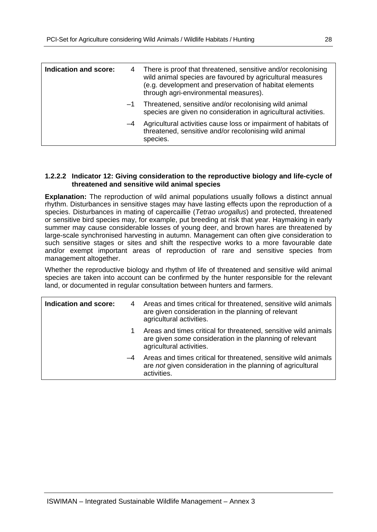| Indication and score: |      | There is proof that threatened, sensitive and/or recolonising<br>wild animal species are favoured by agricultural measures<br>(e.g. development and preservation of habitat elements<br>through agri-environmental measures). |
|-----------------------|------|-------------------------------------------------------------------------------------------------------------------------------------------------------------------------------------------------------------------------------|
|                       | $-1$ | Threatened, sensitive and/or recolonising wild animal<br>species are given no consideration in agricultural activities.                                                                                                       |
|                       | -4   | Agricultural activities cause loss or impairment of habitats of<br>threatened, sensitive and/or recolonising wild animal<br>species.                                                                                          |

#### **1.2.2.2 Indicator 12: Giving consideration to the reproductive biology and life-cycle of threatened and sensitive wild animal species**

**Explanation:** The reproduction of wild animal populations usually follows a distinct annual rhythm. Disturbances in sensitive stages may have lasting effects upon the reproduction of a species. Disturbances in mating of capercaillie (*Tetrao urogallus*) and protected, threatened or sensitive bird species may, for example, put breeding at risk that year. Haymaking in early summer may cause considerable losses of young deer, and brown hares are threatened by large-scale synchronised harvesting in autumn. Management can often give consideration to such sensitive stages or sites and shift the respective works to a more favourable date and/or exempt important areas of reproduction of rare and sensitive species from management altogether.

Whether the reproductive biology and rhythm of life of threatened and sensitive wild animal species are taken into account can be confirmed by the hunter responsible for the relevant land, or documented in regular consultation between hunters and farmers.

| Indication and score: |      | 4 Areas and times critical for threatened, sensitive wild animals<br>are given consideration in the planning of relevant<br>agricultural activities.    |
|-----------------------|------|---------------------------------------------------------------------------------------------------------------------------------------------------------|
|                       | 1    | Areas and times critical for threatened, sensitive wild animals<br>are given some consideration in the planning of relevant<br>agricultural activities. |
|                       | $-4$ | Areas and times critical for threatened, sensitive wild animals<br>are not given consideration in the planning of agricultural<br>activities.           |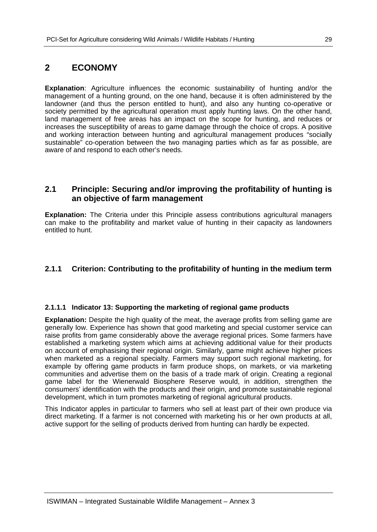## **2 ECONOMY**

**Explanation**: Agriculture influences the economic sustainability of hunting and/or the management of a hunting ground, on the one hand, because it is often administered by the landowner (and thus the person entitled to hunt), and also any hunting co-operative or society permitted by the agricultural operation must apply hunting laws. On the other hand, land management of free areas has an impact on the scope for hunting, and reduces or increases the susceptibility of areas to game damage through the choice of crops. A positive and working interaction between hunting and agricultural management produces "socially sustainable" co-operation between the two managing parties which as far as possible, are aware of and respond to each other's needs.

## **2.1 Principle: Securing and/or improving the profitability of hunting is an objective of farm management**

**Explanation:** The Criteria under this Principle assess contributions agricultural managers can make to the profitability and market value of hunting in their capacity as landowners entitled to hunt.

## **2.1.1 Criterion: Contributing to the profitability of hunting in the medium term**

### **2.1.1.1 Indicator 13: Supporting the marketing of regional game products**

**Explanation:** Despite the high quality of the meat, the average profits from selling game are generally low. Experience has shown that good marketing and special customer service can raise profits from game considerably above the average regional prices. Some farmers have established a marketing system which aims at achieving additional value for their products on account of emphasising their regional origin. Similarly, game might achieve higher prices when marketed as a regional specialty. Farmers may support such regional marketing, for example by offering game products in farm produce shops, on markets, or via marketing communities and advertise them on the basis of a trade mark of origin. Creating a regional game label for the Wienerwald Biosphere Reserve would, in addition, strengthen the consumers' identification with the products and their origin, and promote sustainable regional development, which in turn promotes marketing of regional agricultural products.

This Indicator apples in particular to farmers who sell at least part of their own produce via direct marketing. If a farmer is not concerned with marketing his or her own products at all, active support for the selling of products derived from hunting can hardly be expected.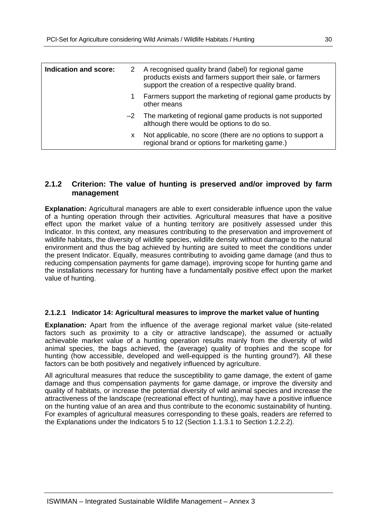| Indication and score: | 2 | A recognised quality brand (label) for regional game<br>products exists and farmers support their sale, or farmers<br>support the creation of a respective quality brand. |
|-----------------------|---|---------------------------------------------------------------------------------------------------------------------------------------------------------------------------|
|                       | 1 | Farmers support the marketing of regional game products by<br>other means                                                                                                 |
|                       |   | $-2$ The marketing of regional game products is not supported<br>although there would be options to do so.                                                                |
|                       | x | Not applicable, no score (there are no options to support a<br>regional brand or options for marketing game.)                                                             |

## **2.1.2 Criterion: The value of hunting is preserved and/or improved by farm management**

**Explanation:** Agricultural managers are able to exert considerable influence upon the value of a hunting operation through their activities. Agricultural measures that have a positive effect upon the market value of a hunting territory are positively assessed under this Indicator. In this context, any measures contributing to the preservation and improvement of wildlife habitats, the diversity of wildlife species, wildlife density without damage to the natural environment and thus the bag achieved by hunting are suited to meet the conditions under the present Indicator. Equally, measures contributing to avoiding game damage (and thus to reducing compensation payments for game damage), improving scope for hunting game and the installations necessary for hunting have a fundamentally positive effect upon the market value of hunting.

### **2.1.2.1 Indicator 14: Agricultural measures to improve the market value of hunting**

**Explanation:** Apart from the influence of the average regional market value (site-related factors such as proximity to a city or attractive landscape), the assumed or actually achievable market value of a hunting operation results mainly from the diversity of wild animal species, the bags achieved, the (average) quality of trophies and the scope for hunting (how accessible, developed and well-equipped is the hunting ground?). All these factors can be both positively and negatively influenced by agriculture.

All agricultural measures that reduce the susceptibility to game damage, the extent of game damage and thus compensation payments for game damage, or improve the diversity and quality of habitats, or increase the potential diversity of wild animal species and increase the attractiveness of the landscape (recreational effect of hunting), may have a positive influence on the hunting value of an area and thus contribute to the economic sustainability of hunting. For examples of agricultural measures corresponding to these goals, readers are referred to the Explanations under the Indicators 5 to 12 (Section 1.1.3.1 to Section 1.2.2.2).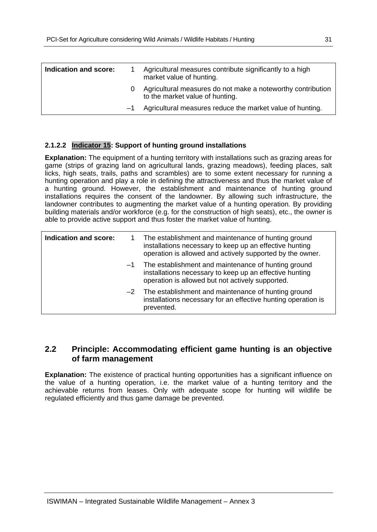| Indication and score: |      | Agricultural measures contribute significantly to a high<br>market value of hunting.           |
|-----------------------|------|------------------------------------------------------------------------------------------------|
|                       |      | Agricultural measures do not make a noteworthy contribution<br>to the market value of hunting. |
|                       | $-1$ | Agricultural measures reduce the market value of hunting.                                      |

## **2.1.2.2 Indicator 15: Support of hunting ground installations**

**Explanation:** The equipment of a hunting territory with installations such as grazing areas for game (strips of grazing land on agricultural lands, grazing meadows), feeding places, salt licks, high seats, trails, paths and scrambles) are to some extent necessary for running a hunting operation and play a role in defining the attractiveness and thus the market value of a hunting ground. However, the establishment and maintenance of hunting ground installations requires the consent of the landowner. By allowing such infrastructure, the landowner contributes to augmenting the market value of a hunting operation. By providing building materials and/or workforce (e.g. for the construction of high seats), etc., the owner is able to provide active support and thus foster the market value of hunting.

| <b>Indication and score:</b> |      | The establishment and maintenance of hunting ground<br>installations necessary to keep up an effective hunting<br>operation is allowed and actively supported by the owner. |
|------------------------------|------|-----------------------------------------------------------------------------------------------------------------------------------------------------------------------------|
|                              | $-1$ | The establishment and maintenance of hunting ground<br>installations necessary to keep up an effective hunting<br>operation is allowed but not actively supported.          |
|                              |      | $-2$ The establishment and maintenance of hunting ground<br>installations necessary for an effective hunting operation is<br>prevented.                                     |

## **2.2 Principle: Accommodating efficient game hunting is an objective of farm management**

**Explanation:** The existence of practical hunting opportunities has a significant influence on the value of a hunting operation, i.e. the market value of a hunting territory and the achievable returns from leases. Only with adequate scope for hunting will wildlife be regulated efficiently and thus game damage be prevented.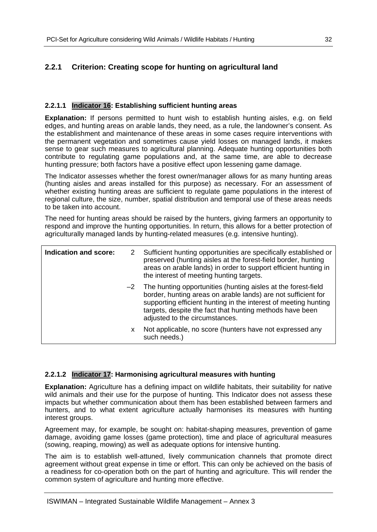## **2.2.1 Criterion: Creating scope for hunting on agricultural land**

## **2.2.1.1 Indicator 16: Establishing sufficient hunting areas**

**Explanation:** If persons permitted to hunt wish to establish hunting aisles, e.g. on field edges, and hunting areas on arable lands, they need, as a rule, the landowner's consent. As the establishment and maintenance of these areas in some cases require interventions with the permanent vegetation and sometimes cause yield losses on managed lands, it makes sense to gear such measures to agricultural planning. Adequate hunting opportunities both contribute to regulating game populations and, at the same time, are able to decrease hunting pressure; both factors have a positive effect upon lessening game damage.

The Indicator assesses whether the forest owner/manager allows for as many hunting areas (hunting aisles and areas installed for this purpose) as necessary. For an assessment of whether existing hunting areas are sufficient to regulate game populations in the interest of regional culture, the size, number, spatial distribution and temporal use of these areas needs to be taken into account.

The need for hunting areas should be raised by the hunters, giving farmers an opportunity to respond and improve the hunting opportunities. In return, this allows for a better protection of agriculturally managed lands by hunting-related measures (e.g. intensive hunting).

| Indication and score:<br>2 |    | Sufficient hunting opportunities are specifically established or<br>preserved (hunting aisles at the forest-field border, hunting<br>areas on arable lands) in order to support efficient hunting in<br>the interest of meeting hunting targets.                                                     |
|----------------------------|----|------------------------------------------------------------------------------------------------------------------------------------------------------------------------------------------------------------------------------------------------------------------------------------------------------|
|                            |    | $-2$ The hunting opportunities (hunting aisles at the forest-field<br>border, hunting areas on arable lands) are not sufficient for<br>supporting efficient hunting in the interest of meeting hunting<br>targets, despite the fact that hunting methods have been<br>adjusted to the circumstances. |
|                            | x. | Not applicable, no score (hunters have not expressed any<br>such needs.)                                                                                                                                                                                                                             |

### **2.2.1.2 Indicator 17: Harmonising agricultural measures with hunting**

**Explanation:** Agriculture has a defining impact on wildlife habitats, their suitability for native wild animals and their use for the purpose of hunting. This Indicator does not assess these impacts but whether communication about them has been established between farmers and hunters, and to what extent agriculture actually harmonises its measures with hunting interest groups.

Agreement may, for example, be sought on: habitat-shaping measures, prevention of game damage, avoiding game losses (game protection), time and place of agricultural measures (sowing, reaping, mowing) as well as adequate options for intensive hunting.

The aim is to establish well-attuned, lively communication channels that promote direct agreement without great expense in time or effort. This can only be achieved on the basis of a readiness for co-operation both on the part of hunting and agriculture. This will render the common system of agriculture and hunting more effective.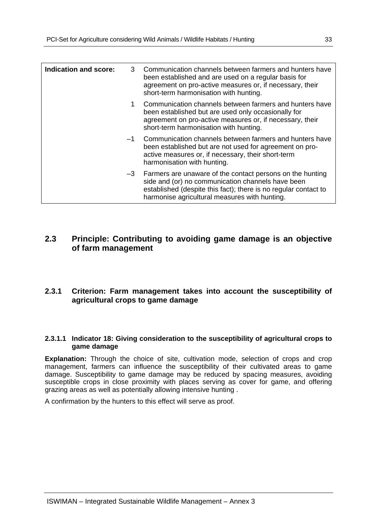| Indication and score: | 3    | Communication channels between farmers and hunters have<br>been established and are used on a regular basis for<br>agreement on pro-active measures or, if necessary, their<br>short-term harmonisation with hunting.                   |
|-----------------------|------|-----------------------------------------------------------------------------------------------------------------------------------------------------------------------------------------------------------------------------------------|
|                       | 1    | Communication channels between farmers and hunters have<br>been established but are used only occasionally for<br>agreement on pro-active measures or, if necessary, their<br>short-term harmonisation with hunting.                    |
|                       | $-1$ | Communication channels between farmers and hunters have<br>been established but are not used for agreement on pro-<br>active measures or, if necessary, their short-term<br>harmonisation with hunting.                                 |
|                       |      | $-3$ Farmers are unaware of the contact persons on the hunting<br>side and (or) no communication channels have been<br>established (despite this fact); there is no regular contact to<br>harmonise agricultural measures with hunting. |

## **2.3 Principle: Contributing to avoiding game damage is an objective of farm management**

## **2.3.1 Criterion: Farm management takes into account the susceptibility of agricultural crops to game damage**

#### **2.3.1.1 Indicator 18: Giving consideration to the susceptibility of agricultural crops to game damage**

**Explanation:** Through the choice of site, cultivation mode, selection of crops and crop management, farmers can influence the susceptibility of their cultivated areas to game damage. Susceptibility to game damage may be reduced by spacing measures, avoiding susceptible crops in close proximity with places serving as cover for game, and offering grazing areas as well as potentially allowing intensive hunting .

A confirmation by the hunters to this effect will serve as proof.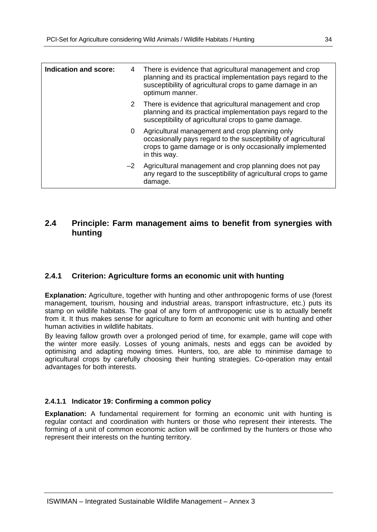| <b>Indication and score:</b> | 4    | There is evidence that agricultural management and crop<br>planning and its practical implementation pays regard to the<br>susceptibility of agricultural crops to game damage in an<br>optimum manner. |
|------------------------------|------|---------------------------------------------------------------------------------------------------------------------------------------------------------------------------------------------------------|
|                              |      | 2 There is evidence that agricultural management and crop<br>planning and its practical implementation pays regard to the<br>susceptibility of agricultural crops to game damage.                       |
|                              | 0    | Agricultural management and crop planning only<br>occasionally pays regard to the susceptibility of agricultural<br>crops to game damage or is only occasionally implemented<br>in this way.            |
|                              | $-2$ | Agricultural management and crop planning does not pay<br>any regard to the susceptibility of agricultural crops to game<br>damage.                                                                     |

## **2.4 Principle: Farm management aims to benefit from synergies with hunting**

## **2.4.1 Criterion: Agriculture forms an economic unit with hunting**

**Explanation:** Agriculture, together with hunting and other anthropogenic forms of use (forest management, tourism, housing and industrial areas, transport infrastructure, etc.) puts its stamp on wildlife habitats. The goal of any form of anthropogenic use is to actually benefit from it. It thus makes sense for agriculture to form an economic unit with hunting and other human activities in wildlife habitats.

By leaving fallow growth over a prolonged period of time, for example, game will cope with the winter more easily. Losses of young animals, nests and eggs can be avoided by optimising and adapting mowing times. Hunters, too, are able to minimise damage to agricultural crops by carefully choosing their hunting strategies. Co-operation may entail advantages for both interests.

### **2.4.1.1 Indicator 19: Confirming a common policy**

**Explanation:** A fundamental requirement for forming an economic unit with hunting is regular contact and coordination with hunters or those who represent their interests. The forming of a unit of common economic action will be confirmed by the hunters or those who represent their interests on the hunting territory.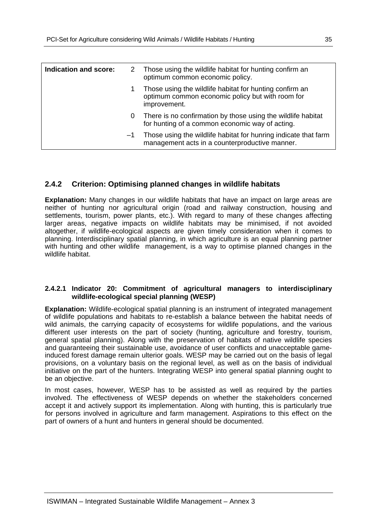| Indication and score: |      | 2 Those using the wildlife habitat for hunting confirm an<br>optimum common economic policy.                                |
|-----------------------|------|-----------------------------------------------------------------------------------------------------------------------------|
|                       |      | Those using the wildlife habitat for hunting confirm an<br>optimum common economic policy but with room for<br>improvement. |
|                       | 0    | There is no confirmation by those using the wildlife habitat<br>for hunting of a common economic way of acting.             |
|                       | $-1$ | Those using the wildlife habitat for hunring indicate that farm<br>management acts in a counterproductive manner.           |

## **2.4.2 Criterion: Optimising planned changes in wildlife habitats**

**Explanation:** Many changes in our wildlife habitats that have an impact on large areas are neither of hunting nor agricultural origin (road and railway construction, housing and settlements, tourism, power plants, etc.). With regard to many of these changes affecting larger areas, negative impacts on wildlife habitats may be minimised, if not avoided altogether, if wildlife-ecological aspects are given timely consideration when it comes to planning. Interdisciplinary spatial planning, in which agriculture is an equal planning partner with hunting and other wildlife management, is a way to optimise planned changes in the wildlife habitat.

#### **2.4.2.1 Indicator 20: Commitment of agricultural managers to interdisciplinary wildlife-ecological special planning (WESP)**

**Explanation:** Wildlife-ecological spatial planning is an instrument of integrated management of wildlife populations and habitats to re-establish a balance between the habitat needs of wild animals, the carrying capacity of ecosystems for wildlife populations, and the various different user interests on the part of society (hunting, agriculture and forestry, tourism, general spatial planning). Along with the preservation of habitats of native wildlife species and guaranteeing their sustainable use, avoidance of user conflicts and unacceptable gameinduced forest damage remain ulterior goals. WESP may be carried out on the basis of legal provisions, on a voluntary basis on the regional level, as well as on the basis of individual initiative on the part of the hunters. Integrating WESP into general spatial planning ought to be an objective.

In most cases, however, WESP has to be assisted as well as required by the parties involved. The effectiveness of WESP depends on whether the stakeholders concerned accept it and actively support its implementation. Along with hunting, this is particularly true for persons involved in agriculture and farm management. Aspirations to this effect on the part of owners of a hunt and hunters in general should be documented.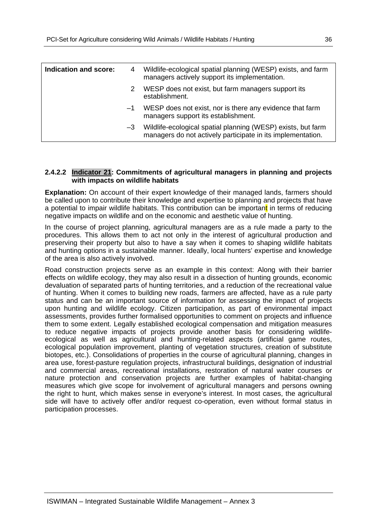| Indication and score: | 4    | Wildlife-ecological spatial planning (WESP) exists, and farm<br>managers actively support its implementation.               |
|-----------------------|------|-----------------------------------------------------------------------------------------------------------------------------|
|                       | 2    | WESP does not exist, but farm managers support its<br>establishment.                                                        |
|                       | $-1$ | WESP does not exist, nor is there any evidence that farm<br>managers support its establishment.                             |
|                       | $-3$ | Wildlife-ecological spatial planning (WESP) exists, but farm<br>managers do not actively participate in its implementation. |

#### **2.4.2.2 Indicator 21: Commitments of agricultural managers in planning and projects with impacts on wildlife habitats**

**Explanation:** On account of their expert knowledge of their managed lands, farmers should be called upon to contribute their knowledge and expertise to planning and projects that have a potential to impair wildlife habitats. This contribution can be important in terms of reducing negative impacts on wildlife and on the economic and aesthetic value of hunting.

In the course of project planning, agricultural managers are as a rule made a party to the procedures. This allows them to act not only in the interest of agricultural production and preserving their property but also to have a say when it comes to shaping wildlife habitats and hunting options in a sustainable manner. Ideally, local hunters' expertise and knowledge of the area is also actively involved.

Road construction projects serve as an example in this context: Along with their barrier effects on wildlife ecology, they may also result in a dissection of hunting grounds, economic devaluation of separated parts of hunting territories, and a reduction of the recreational value of hunting. When it comes to building new roads, farmers are affected, have as a rule party status and can be an important source of information for assessing the impact of projects upon hunting and wildlife ecology. Citizen participation, as part of environmental impact assessments, provides further formalised opportunities to comment on projects and influence them to some extent. Legally established ecological compensation and mitigation measures to reduce negative impacts of projects provide another basis for considering wildlifeecological as well as agricultural and hunting-related aspects (artificial game routes, ecological population improvement, planting of vegetation structures, creation of substitute biotopes, etc.). Consolidations of properties in the course of agricultural planning, changes in area use, forest-pasture regulation projects, infrastructural buildings, designation of industrial and commercial areas, recreational installations, restoration of natural water courses or nature protection and conservation projects are further examples of habitat-changing measures which give scope for involvement of agricultural managers and persons owning the right to hunt, which makes sense in everyone's interest. In most cases, the agricultural side will have to actively offer and/or request co-operation, even without formal status in participation processes.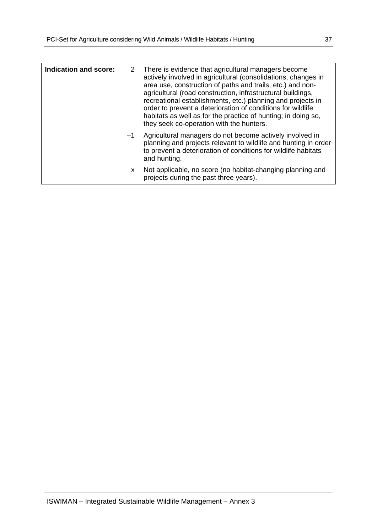| Indication and score: |      | 2 There is evidence that agricultural managers become<br>actively involved in agricultural (consolidations, changes in<br>area use, construction of paths and trails, etc.) and non-<br>agricultural (road construction, infrastructural buildings,<br>recreational establishments, etc.) planning and projects in<br>order to prevent a deterioration of conditions for wildlife<br>habitats as well as for the practice of hunting; in doing so,<br>they seek co-operation with the hunters. |
|-----------------------|------|------------------------------------------------------------------------------------------------------------------------------------------------------------------------------------------------------------------------------------------------------------------------------------------------------------------------------------------------------------------------------------------------------------------------------------------------------------------------------------------------|
|                       | $-1$ | Agricultural managers do not become actively involved in<br>planning and projects relevant to wildlife and hunting in order<br>to prevent a deterioration of conditions for wildlife habitats<br>and hunting.                                                                                                                                                                                                                                                                                  |
|                       | X.   | Not applicable, no score (no habitat-changing planning and<br>projects during the past three years).                                                                                                                                                                                                                                                                                                                                                                                           |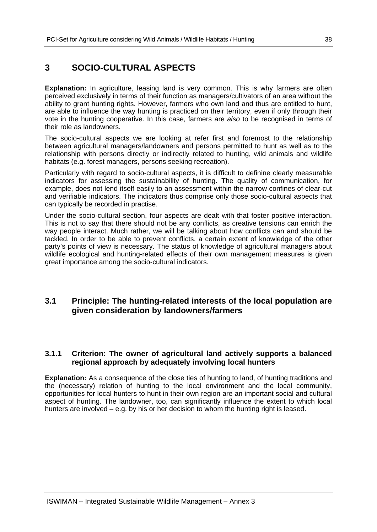## **3 SOCIO-CULTURAL ASPECTS**

**Explanation:** In agriculture, leasing land is very common. This is why farmers are often perceived exclusively in terms of their function as managers/cultivators of an area without the ability to grant hunting rights. However, farmers who own land and thus are entitled to hunt, are able to influence the way hunting is practiced on their territory, even if only through their vote in the hunting cooperative. In this case, farmers are *also* to be recognised in terms of their role as landowners.

The socio-cultural aspects we are looking at refer first and foremost to the relationship between agricultural managers/landowners and persons permitted to hunt as well as to the relationship with persons directly or indirectly related to hunting, wild animals and wildlife habitats (e.g. forest managers, persons seeking recreation).

Particularly with regard to socio-cultural aspects, it is difficult to definine clearly measurable indicators for assessing the sustainability of hunting. The quality of communication, for example, does not lend itself easily to an assessment within the narrow confines of clear-cut and verifiable indicators. The indicators thus comprise only those socio-cultural aspects that can typically be recorded in practise.

Under the socio-cultural section, four aspects are dealt with that foster positive interaction. This is not to say that there should not be any conflicts, as creative tensions can enrich the way people interact. Much rather, we will be talking about how conflicts can and should be tackled. In order to be able to prevent conflicts, a certain extent of knowledge of the other party's points of view is necessary. The status of knowledge of agricultural managers about wildlife ecological and hunting-related effects of their own management measures is given great importance among the socio-cultural indicators.

## **3.1 Principle: The hunting-related interests of the local population are given consideration by landowners/farmers**

## **3.1.1 Criterion: The owner of agricultural land actively supports a balanced regional approach by adequately involving local hunters**

**Explanation:** As a consequence of the close ties of hunting to land, of hunting traditions and the (necessary) relation of hunting to the local environment and the local community, opportunities for local hunters to hunt in their own region are an important social and cultural aspect of hunting. The landowner, too, can significantly influence the extent to which local hunters are involved – e.g. by his or her decision to whom the hunting right is leased.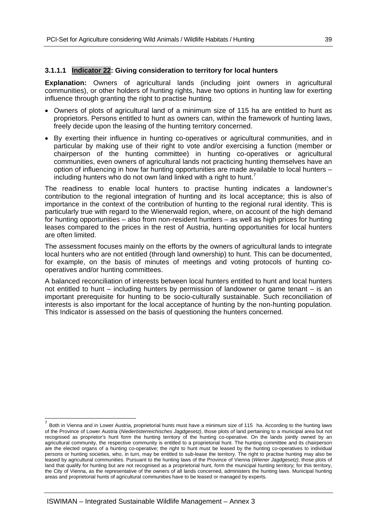## **3.1.1.1 Indicator 22: Giving consideration to territory for local hunters**

**Explanation:** Owners of agricultural lands (including joint owners in agricultural communities), or other holders of hunting rights, have two options in hunting law for exerting influence through granting the right to practise hunting.

- Owners of plots of agricultural land of a minimum size of 115 ha are entitled to hunt as proprietors. Persons entitled to hunt as owners can, within the framework of hunting laws, freely decide upon the leasing of the hunting territory concerned.
- By exerting their influence in hunting co-operatives or agricultural communities, and in particular by making use of their right to vote and/or exercising a function (member or chairperson of the hunting committee) in hunting co-operatives or agricultural communities, even owners of agricultural lands not practicing hunting themselves have an option of influencing in how far hunting opportunities are made available to local hunters – including hunters who do not own land linked with a right to hunt.<sup>7</sup>

The readiness to enable local hunters to practise hunting indicates a landowner's contribution to the regional integration of hunting and its local acceptance; this is also of importance in the context of the contribution of hunting to the regional rural identity. This is particularly true with regard to the Wienerwald region, where, on account of the high demand for hunting opportunities – also from non-resident hunters – as well as high prices for hunting leases compared to the prices in the rest of Austria, hunting opportunities for local hunters are often limited.

The assessment focuses mainly on the efforts by the owners of agricultural lands to integrate local hunters who are not entitled (through land ownership) to hunt. This can be documented, for example, on the basis of minutes of meetings and voting protocols of hunting cooperatives and/or hunting committees.

A balanced reconciliation of interests between local hunters entitled to hunt and local hunters not entitled to hunt – including hunters by permission of landowner or game tenant – is an important prerequisite for hunting to be socio-culturally sustainable. Such reconciliation of interests is also important for the local acceptance of hunting by the non-hunting population. This Indicator is assessed on the basis of questioning the hunters concerned.

-

<sup>7</sup> Both in Vienna and in Lower Austria, proprietorial hunts must have a minimum size of 115 ha. According to the hunting laws of the Province of Lower Austria (*Niederösterreichisches Jagdgesetz)*, those plots of land pertaining to a municipal area but not recognised as proprietor's hunt form the hunting territory of the hunting co-operative. On the lands jointly owned by an agricultural community, the respective community is entitled to a proprietorial hunt. The hunting committee and its chairperson are the elected organs of a hunting co-operative; the right to hunt must be leased by the hunting co-operatives to individual persons or hunting societies, who, in turn, may be entitled to sub-lease the territory. The right to practise hunting may also be leased by agricultural communities. Pursuant to the hunting laws of the Province of Vienna (*Wiener Jagdgesetz)*, those plots of land that qualify for hunting but are not recognised as a proprietorial hunt, form the municipal hunting territory; for this territory, the City of Vienna, as the representative of the owners of all lands concerned, administers the hunting laws. Municipal hunting areas and proprietorial hunts of agricultural communities have to be leased or managed by experts.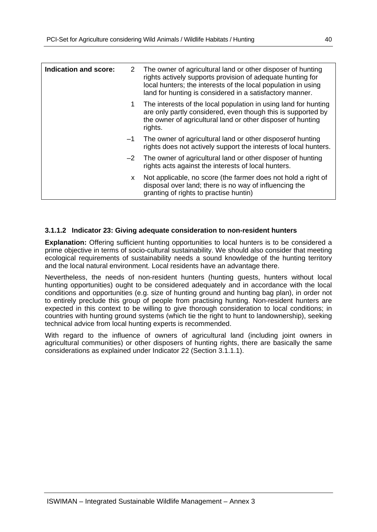| Indication and score: | 2    | The owner of agricultural land or other disposer of hunting<br>rights actively supports provision of adequate hunting for<br>local hunters; the interests of the local population in using<br>land for hunting is considered in a satisfactory manner. |
|-----------------------|------|--------------------------------------------------------------------------------------------------------------------------------------------------------------------------------------------------------------------------------------------------------|
|                       | 1.   | The interests of the local population in using land for hunting<br>are only partly considered, even though this is supported by<br>the owner of agricultural land or other disposer of hunting<br>rights.                                              |
|                       | $-1$ | The owner of agricultural land or other disposer of hunting<br>rights does not actively support the interests of local hunters.                                                                                                                        |
|                       | $-2$ | The owner of agricultural land or other disposer of hunting<br>rights acts against the interests of local hunters.                                                                                                                                     |
|                       | X.   | Not applicable, no score (the farmer does not hold a right of<br>disposal over land; there is no way of influencing the<br>granting of rights to practise huntin)                                                                                      |

### **3.1.1.2 Indicator 23: Giving adequate consideration to non-resident hunters**

**Explanation:** Offering sufficient hunting opportunities to local hunters is to be considered a prime objective in terms of socio-cultural sustainability. We should also consider that meeting ecological requirements of sustainability needs a sound knowledge of the hunting territory and the local natural environment. Local residents have an advantage there.

Nevertheless, the needs of non-resident hunters (hunting guests, hunters without local hunting opportunities) ought to be considered adequately and in accordance with the local conditions and opportunities (e.g. size of hunting ground and hunting bag plan), in order not to entirely preclude this group of people from practising hunting. Non-resident hunters are expected in this context to be willing to give thorough consideration to local conditions; in countries with hunting ground systems (which tie the right to hunt to landownership), seeking technical advice from local hunting experts is recommended.

With regard to the influence of owners of agricultural land (including joint owners in agricultural communities) or other disposers of hunting rights, there are basically the same considerations as explained under Indicator 22 (Section 3.1.1.1).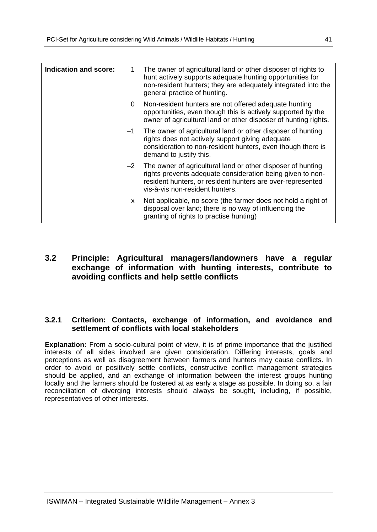| <b>Indication and score:</b> | 1    | The owner of agricultural land or other disposer of rights to<br>hunt actively supports adequate hunting opportunities for<br>non-resident hunters; they are adequately integrated into the<br>general practice of hunting. |
|------------------------------|------|-----------------------------------------------------------------------------------------------------------------------------------------------------------------------------------------------------------------------------|
|                              | 0    | Non-resident hunters are not offered adequate hunting<br>opportunities, even though this is actively supported by the<br>owner of agricultural land or other disposer of hunting rights.                                    |
|                              | $-1$ | The owner of agricultural land or other disposer of hunting<br>rights does not actively support giving adequate<br>consideration to non-resident hunters, even though there is<br>demand to justify this.                   |
|                              | $-2$ | The owner of agricultural land or other disposer of hunting<br>rights prevents adequate consideration being given to non-<br>resident hunters, or resident hunters are over-represented<br>vis-à-vis non-resident hunters.  |
|                              | X.   | Not applicable, no score (the farmer does not hold a right of<br>disposal over land; there is no way of influencing the<br>granting of rights to practise hunting)                                                          |

## **3.2 Principle: Agricultural managers/landowners have a regular exchange of information with hunting interests, contribute to avoiding conflicts and help settle conflicts**

### **3.2.1 Criterion: Contacts, exchange of information, and avoidance and settlement of conflicts with local stakeholders**

**Explanation:** From a socio-cultural point of view, it is of prime importance that the justified interests of all sides involved are given consideration. Differing interests, goals and perceptions as well as disagreement between farmers and hunters may cause conflicts. In order to avoid or positively settle conflicts, constructive conflict management strategies should be applied, and an exchange of information between the interest groups hunting locally and the farmers should be fostered at as early a stage as possible. In doing so, a fair reconciliation of diverging interests should always be sought, including, if possible, representatives of other interests.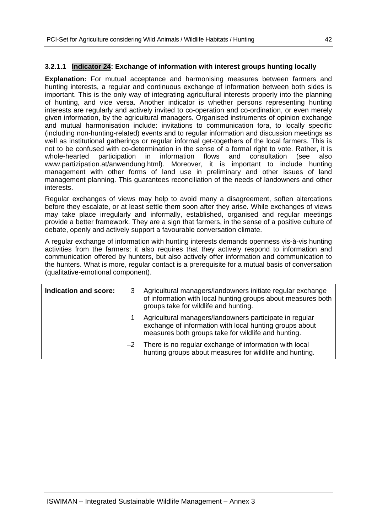## **3.2.1.1 Indicator 24: Exchange of information with interest groups hunting locally**

**Explanation:** For mutual acceptance and harmonising measures between farmers and hunting interests, a regular and continuous exchange of information between both sides is important. This is the only way of integrating agricultural interests properly into the planning of hunting, and vice versa. Another indicator is whether persons representing hunting interests are regularly and actively invited to co-operation and co-ordination, or even merely given information, by the agricultural managers. Organised instruments of opinion exchange and mutual harmonisation include: invitations to communication fora, to locally specific (including non-hunting-related) events and to regular information and discussion meetings as well as institutional gatherings or regular informal get-togethers of the local farmers. This is not to be confused with co-determination in the sense of a formal right to vote. Rather, it is<br>whole-hearted participation in information flows and consultation (see also whole-hearted participation in information flows and consultation (see also www.partizipation.at/anwendung.html). Moreover, it is important to include hunting management with other forms of land use in preliminary and other issues of land management planning. This guarantees reconciliation of the needs of landowners and other interests.

Regular exchanges of views may help to avoid many a disagreement, soften altercations before they escalate, or at least settle them soon after they arise. While exchanges of views may take place irregularly and informally, established, organised and regular meetings provide a better framework. They are a sign that farmers, in the sense of a positive culture of debate, openly and actively support a favourable conversation climate.

A regular exchange of information with hunting interests demands openness vis-à-vis hunting activities from the farmers; it also requires that they actively respond to information and communication offered by hunters, but also actively offer information and communication to the hunters. What is more, regular contact is a prerequisite for a mutual basis of conversation (qualitative-emotional component).

| Indication and score: | Agricultural managers/landowners initiate regular exchange<br>of information with local hunting groups about measures both<br>groups take for wildlife and hunting.       |
|-----------------------|---------------------------------------------------------------------------------------------------------------------------------------------------------------------------|
|                       | Agricultural managers/landowners participate in regular<br>exchange of information with local hunting groups about<br>measures both groups take for wildlife and hunting. |
|                       | $-2$ There is no regular exchange of information with local<br>hunting groups about measures for wildlife and hunting.                                                    |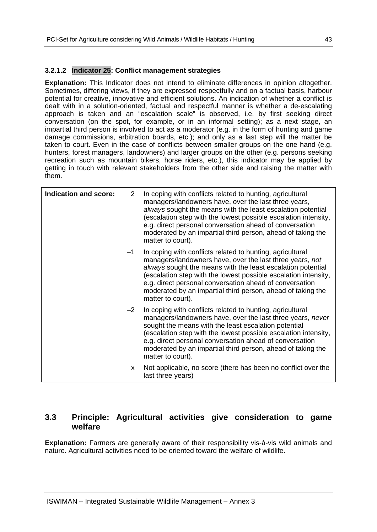## **3.2.1.2 Indicator 25: Conflict management strategies**

**Explanation:** This Indicator does not intend to eliminate differences in opinion altogether. Sometimes, differing views, if they are expressed respectfully and on a factual basis, harbour potential for creative, innovative and efficient solutions. An indication of whether a conflict is dealt with in a solution-oriented, factual and respectful manner is whether a de-escalating approach is taken and an "escalation scale" is observed, i.e. by first seeking direct conversation (on the spot, for example, or in an informal setting); as a next stage, an impartial third person is involved to act as a moderator (e.g. in the form of hunting and game damage commissions, arbitration boards, etc.); and only as a last step will the matter be taken to court. Even in the case of conflicts between smaller groups on the one hand (e.g. hunters, forest managers, landowners) and larger groups on the other (e.g. persons seeking recreation such as mountain bikers, horse riders, etc.), this indicator may be applied by getting in touch with relevant stakeholders from the other side and raising the matter with them.

| <b>Indication and score:</b> | 2    | In coping with conflicts related to hunting, agricultural<br>managers/landowners have, over the last three years,<br>always sought the means with the least escalation potential<br>(escalation step with the lowest possible escalation intensity,<br>e.g. direct personal conversation ahead of conversation<br>moderated by an impartial third person, ahead of taking the<br>matter to court).     |
|------------------------------|------|--------------------------------------------------------------------------------------------------------------------------------------------------------------------------------------------------------------------------------------------------------------------------------------------------------------------------------------------------------------------------------------------------------|
|                              | -1   | In coping with conflicts related to hunting, agricultural<br>managers/landowners have, over the last three years, not<br>always sought the means with the least escalation potential<br>(escalation step with the lowest possible escalation intensity,<br>e.g. direct personal conversation ahead of conversation<br>moderated by an impartial third person, ahead of taking the<br>matter to court). |
|                              | $-2$ | In coping with conflicts related to hunting, agricultural<br>managers/landowners have, over the last three years, never<br>sought the means with the least escalation potential<br>(escalation step with the lowest possible escalation intensity,<br>e.g. direct personal conversation ahead of conversation<br>moderated by an impartial third person, ahead of taking the<br>matter to court).      |
|                              | X.   | Not applicable, no score (there has been no conflict over the<br>last three years)                                                                                                                                                                                                                                                                                                                     |

## **3.3 Principle: Agricultural activities give consideration to game welfare**

**Explanation:** Farmers are generally aware of their responsibility vis-à-vis wild animals and nature. Agricultural activities need to be oriented toward the welfare of wildlife.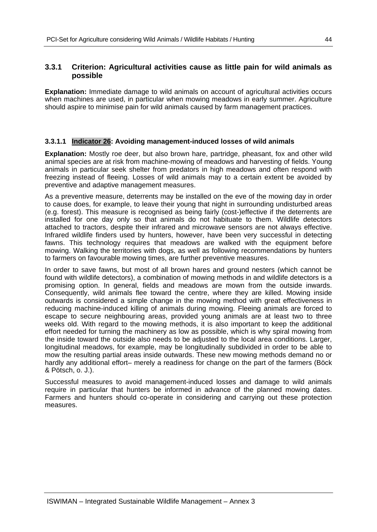## **3.3.1 Criterion: Agricultural activities cause as little pain for wild animals as possible**

**Explanation:** Immediate damage to wild animals on account of agricultural activities occurs when machines are used, in particular when mowing meadows in early summer. Agriculture should aspire to minimise pain for wild animals caused by farm management practices.

## **3.3.1.1 Indicator 26: Avoiding management-induced losses of wild animals**

**Explanation:** Mostly roe deer, but also brown hare, partridge, pheasant, fox and other wild animal species are at risk from machine-mowing of meadows and harvesting of fields. Young animals in particular seek shelter from predators in high meadows and often respond with freezing instead of fleeing. Losses of wild animals may to a certain extent be avoided by preventive and adaptive management measures.

As a preventive measure, deterrents may be installed on the eve of the mowing day in order to cause does, for example, to leave their young that night in surrounding undisturbed areas (e.g. forest). This measure is recognised as being fairly (cost-)effective if the deterrents are installed for one day only so that animals do not habituate to them. Wildlife detectors attached to tractors, despite their infrared and microwave sensors are not always effective. Infrared wildlife finders used by hunters, however, have been very successful in detecting fawns. This technology requires that meadows are walked with the equipment before mowing. Walking the territories with dogs, as well as following recommendations by hunters to farmers on favourable mowing times, are further preventive measures.

In order to save fawns, but most of all brown hares and ground nesters (which cannot be found with wildlife detectors), a combination of mowing methods in and wildlife detectors is a promising option. In general, fields and meadows are mown from the outside inwards. Consequently, wild animals flee toward the centre, where they are killed. Mowing inside outwards is considered a simple change in the mowing method with great effectiveness in reducing machine-induced killing of animals during mowing. Fleeing animals are forced to escape to secure neighbouring areas, provided young animals are at least two to three weeks old. With regard to the mowing methods, it is also important to keep the additional effort needed for turning the machinery as low as possible, which is why spiral mowing from the inside toward the outside also needs to be adjusted to the local area conditions. Larger, longitudinal meadows, for example, may be longitudinally subdivided in order to be able to mow the resulting partial areas inside outwards. These new mowing methods demand no or hardly any additional effort– merely a readiness for change on the part of the farmers (Böck & Pötsch, o. J.).

Successful measures to avoid management-induced losses and damage to wild animals require in particular that hunters be informed in advance of the planned mowing dates. Farmers and hunters should co-operate in considering and carrying out these protection measures.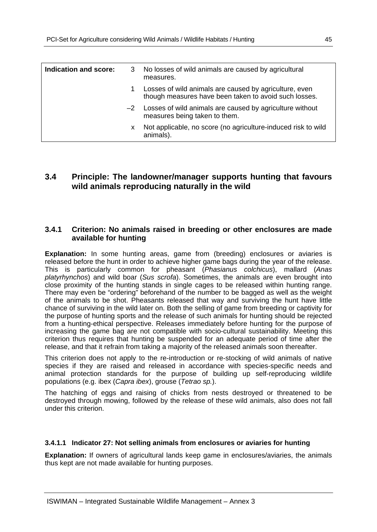| Indication and score: |    | 3 No losses of wild animals are caused by agricultural<br>measures.                                             |
|-----------------------|----|-----------------------------------------------------------------------------------------------------------------|
|                       |    | Losses of wild animals are caused by agriculture, even<br>though measures have been taken to avoid such losses. |
|                       |    | $-2$ Losses of wild animals are caused by agriculture without<br>measures being taken to them.                  |
|                       | x. | Not applicable, no score (no agriculture-induced risk to wild<br>animals).                                      |

## **3.4 Principle: The landowner/manager supports hunting that favours wild animals reproducing naturally in the wild**

## **3.4.1 Criterion: No animals raised in breeding or other enclosures are made available for hunting**

**Explanation:** In some hunting areas, game from (breeding) enclosures or aviaries is released before the hunt in order to achieve higher game bags during the year of the release. This is particularly common for pheasant (*Phasianus colchicus*), mallard (*Anas platyrhynchos*) and wild boar (*Sus scrofa*). Sometimes, the animals are even brought into close proximity of the hunting stands in single cages to be released within hunting range. There may even be "ordering" beforehand of the number to be bagged as well as the weight of the animals to be shot. Pheasants released that way and surviving the hunt have little chance of surviving in the wild later on. Both the selling of game from breeding or captivity for the purpose of hunting sports and the release of such animals for hunting should be rejected from a hunting-ethical perspective. Releases immediately before hunting for the purpose of increasing the game bag are not compatible with socio-cultural sustainability. Meeting this criterion thus requires that hunting be suspended for an adequate period of time after the release, and that it refrain from taking a majority of the released animals soon thereafter.

This criterion does not apply to the re-introduction or re-stocking of wild animals of native species if they are raised and released in accordance with species-specific needs and animal protection standards for the purpose of building up self-reproducing wildlife populations (e.g. ibex (*Capra ibex*), grouse (*Tetrao sp.*).

The hatching of eggs and raising of chicks from nests destroyed or threatened to be destroyed through mowing, followed by the release of these wild animals, also does not fall under this criterion.

### **3.4.1.1 Indicator 27: Not selling animals from enclosures or aviaries for hunting**

**Explanation:** If owners of agricultural lands keep game in enclosures/aviaries, the animals thus kept are not made available for hunting purposes.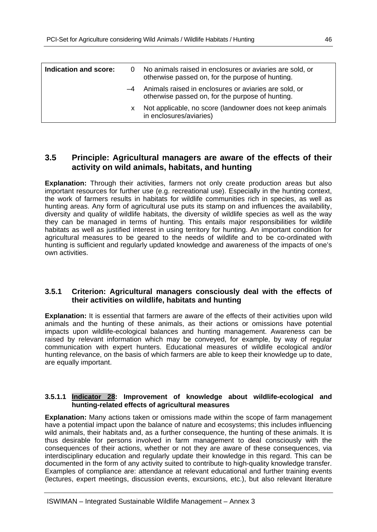| Indication and score: | 0 | No animals raised in enclosures or aviaries are sold, or<br>otherwise passed on, for the purpose of hunting. |
|-----------------------|---|--------------------------------------------------------------------------------------------------------------|
|                       |   | -4 Animals raised in enclosures or aviaries are sold, or<br>otherwise passed on, for the purpose of hunting. |
|                       | X | Not applicable, no score (landowner does not keep animals<br>in enclosures/aviaries)                         |

## **3.5 Principle: Agricultural managers are aware of the effects of their activity on wild animals, habitats, and hunting**

**Explanation:** Through their activities, farmers not only create production areas but also important resources for further use (e.g. recreational use). Especially in the hunting context, the work of farmers results in habitats for wildlife communities rich in species, as well as hunting areas. Any form of agricultural use puts its stamp on and influences the availability, diversity and quality of wildlife habitats, the diversity of wildlife species as well as the way they can be managed in terms of hunting. This entails major responsibilities for wildlife habitats as well as justified interest in using territory for hunting. An important condition for agricultural measures to be geared to the needs of wildlife and to be co-ordinated with hunting is sufficient and regularly updated knowledge and awareness of the impacts of one's own activities.

## **3.5.1 Criterion: Agricultural managers consciously deal with the effects of their activities on wildlife, habitats and hunting**

**Explanation:** It is essential that farmers are aware of the effects of their activities upon wild animals and the hunting of these animals, as their actions or omissions have potential impacts upon wildlife-ecological balances and hunting management. Awareness can be raised by relevant information which may be conveyed, for example, by way of regular communication with expert hunters. Educational measures of wildlife ecological and/or hunting relevance, on the basis of which farmers are able to keep their knowledge up to date, are equally important.

#### **3.5.1.1 Indicator 28: Improvement of knowledge about wildlife-ecological and hunting-related effects of agricultural measures**

**Explanation:** Many actions taken or omissions made within the scope of farm management have a potential impact upon the balance of nature and ecosystems; this includes influencing wild animals, their habitats and, as a further consequence, the hunting of these animals. It is thus desirable for persons involved in farm management to deal consciously with the consequences of their actions, whether or not they are aware of these consequences, via interdisciplinary education and regularly update their knowledge in this regard. This can be documented in the form of any activity suited to contribute to high-quality knowledge transfer. Examples of compliance are: attendance at relevant educational and further training events (lectures, expert meetings, discussion events, excursions, etc.), but also relevant literature